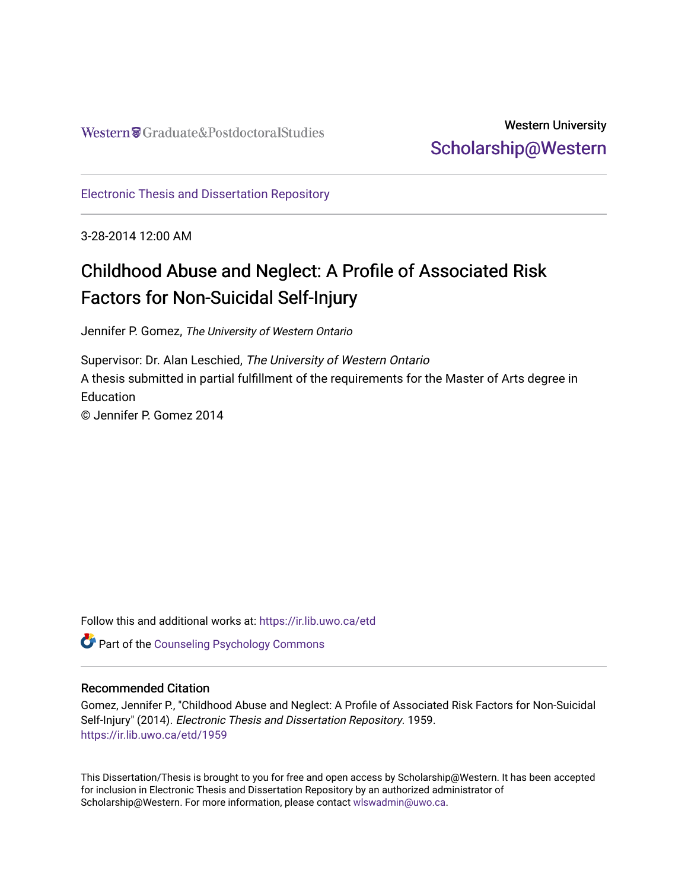# Western University [Scholarship@Western](https://ir.lib.uwo.ca/)

[Electronic Thesis and Dissertation Repository](https://ir.lib.uwo.ca/etd)

3-28-2014 12:00 AM

# Childhood Abuse and Neglect: A Profile of Associated Risk Factors for Non-Suicidal Self-Injury

Jennifer P. Gomez, The University of Western Ontario

Supervisor: Dr. Alan Leschied, The University of Western Ontario A thesis submitted in partial fulfillment of the requirements for the Master of Arts degree in **Education** © Jennifer P. Gomez 2014

Follow this and additional works at: [https://ir.lib.uwo.ca/etd](https://ir.lib.uwo.ca/etd?utm_source=ir.lib.uwo.ca%2Fetd%2F1959&utm_medium=PDF&utm_campaign=PDFCoverPages) 

Part of the [Counseling Psychology Commons](http://network.bepress.com/hgg/discipline/1044?utm_source=ir.lib.uwo.ca%2Fetd%2F1959&utm_medium=PDF&utm_campaign=PDFCoverPages) 

## Recommended Citation

Gomez, Jennifer P., "Childhood Abuse and Neglect: A Profile of Associated Risk Factors for Non-Suicidal Self-Injury" (2014). Electronic Thesis and Dissertation Repository. 1959. [https://ir.lib.uwo.ca/etd/1959](https://ir.lib.uwo.ca/etd/1959?utm_source=ir.lib.uwo.ca%2Fetd%2F1959&utm_medium=PDF&utm_campaign=PDFCoverPages)

This Dissertation/Thesis is brought to you for free and open access by Scholarship@Western. It has been accepted for inclusion in Electronic Thesis and Dissertation Repository by an authorized administrator of Scholarship@Western. For more information, please contact [wlswadmin@uwo.ca.](mailto:wlswadmin@uwo.ca)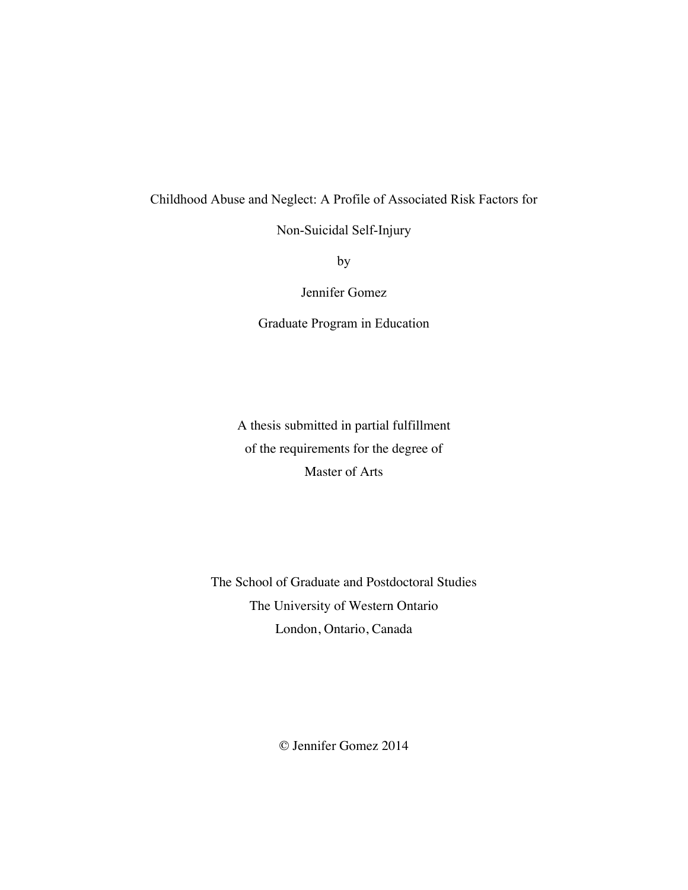# Childhood Abuse and Neglect: A Profile of Associated Risk Factors for

Non-Suicidal Self-Injury

by

Jennifer Gomez

Graduate Program in Education

A thesis submitted in partial fulfillment of the requirements for the degree of Master of Arts

The School of Graduate and Postdoctoral Studies The University of Western Ontario London, Ontario, Canada

© Jennifer Gomez 2014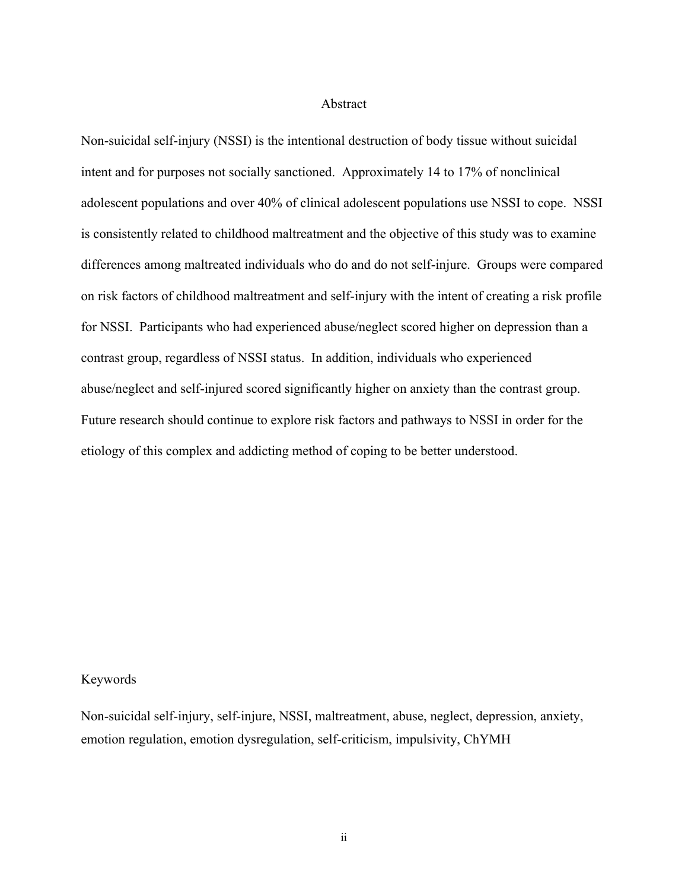### Abstract

Non-suicidal self-injury (NSSI) is the intentional destruction of body tissue without suicidal intent and for purposes not socially sanctioned. Approximately 14 to 17% of nonclinical adolescent populations and over 40% of clinical adolescent populations use NSSI to cope. NSSI is consistently related to childhood maltreatment and the objective of this study was to examine differences among maltreated individuals who do and do not self-injure. Groups were compared on risk factors of childhood maltreatment and self-injury with the intent of creating a risk profile for NSSI. Participants who had experienced abuse/neglect scored higher on depression than a contrast group, regardless of NSSI status. In addition, individuals who experienced abuse/neglect and self-injured scored significantly higher on anxiety than the contrast group. Future research should continue to explore risk factors and pathways to NSSI in order for the etiology of this complex and addicting method of coping to be better understood.

# Keywords

Non-suicidal self-injury, self-injure, NSSI, maltreatment, abuse, neglect, depression, anxiety, emotion regulation, emotion dysregulation, self-criticism, impulsivity, ChYMH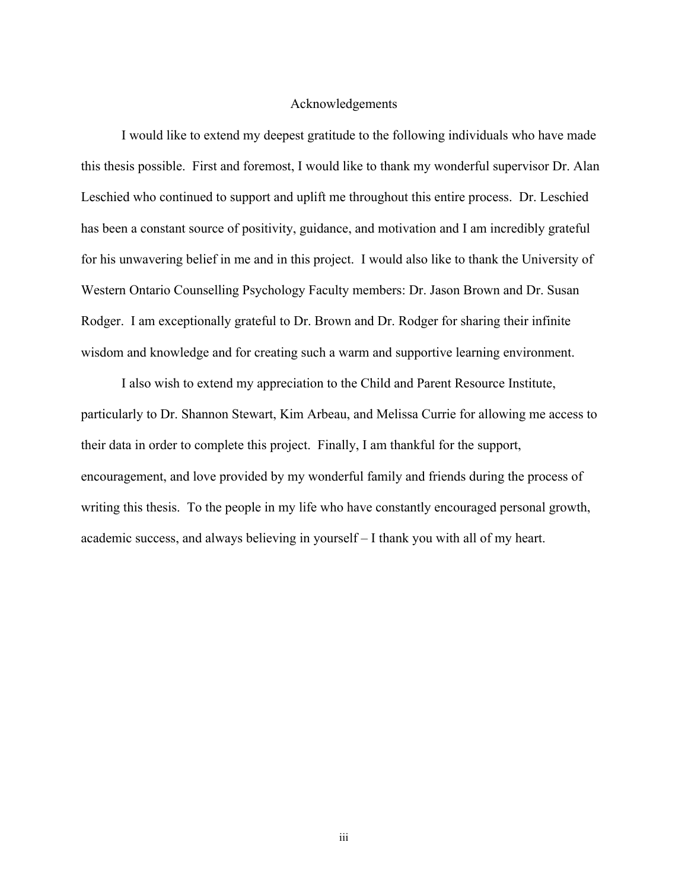#### Acknowledgements

I would like to extend my deepest gratitude to the following individuals who have made this thesis possible. First and foremost, I would like to thank my wonderful supervisor Dr. Alan Leschied who continued to support and uplift me throughout this entire process. Dr. Leschied has been a constant source of positivity, guidance, and motivation and I am incredibly grateful for his unwavering belief in me and in this project. I would also like to thank the University of Western Ontario Counselling Psychology Faculty members: Dr. Jason Brown and Dr. Susan Rodger. I am exceptionally grateful to Dr. Brown and Dr. Rodger for sharing their infinite wisdom and knowledge and for creating such a warm and supportive learning environment.

I also wish to extend my appreciation to the Child and Parent Resource Institute, particularly to Dr. Shannon Stewart, Kim Arbeau, and Melissa Currie for allowing me access to their data in order to complete this project. Finally, I am thankful for the support, encouragement, and love provided by my wonderful family and friends during the process of writing this thesis. To the people in my life who have constantly encouraged personal growth, academic success, and always believing in yourself – I thank you with all of my heart.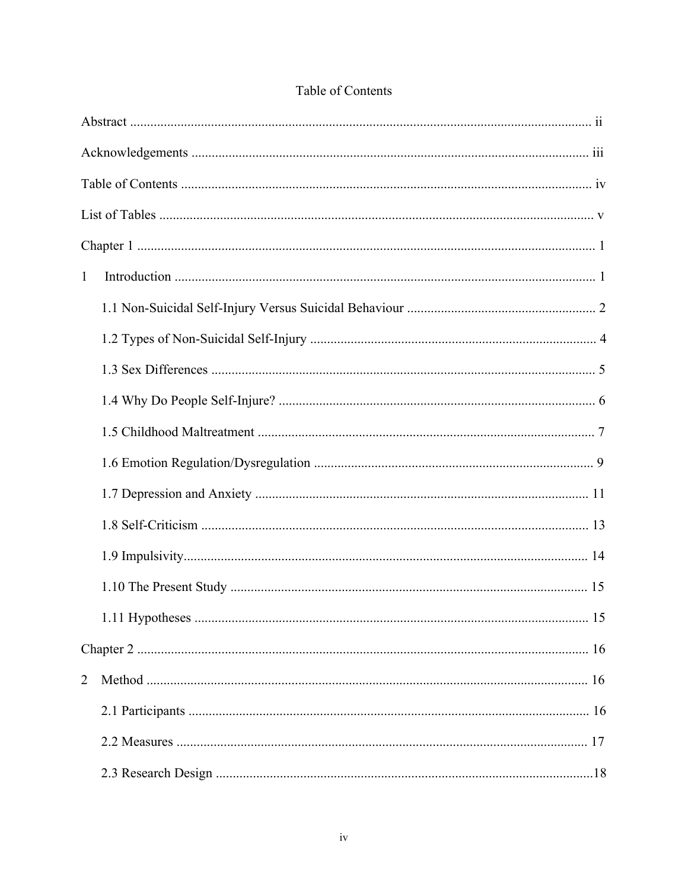| $\mathbf{1}$   |     |
|----------------|-----|
|                |     |
|                |     |
|                |     |
|                |     |
|                |     |
|                |     |
|                |     |
|                |     |
|                |     |
|                |     |
|                | .15 |
|                |     |
| $\overline{2}$ |     |
|                |     |
|                |     |
|                |     |

# Table of Contents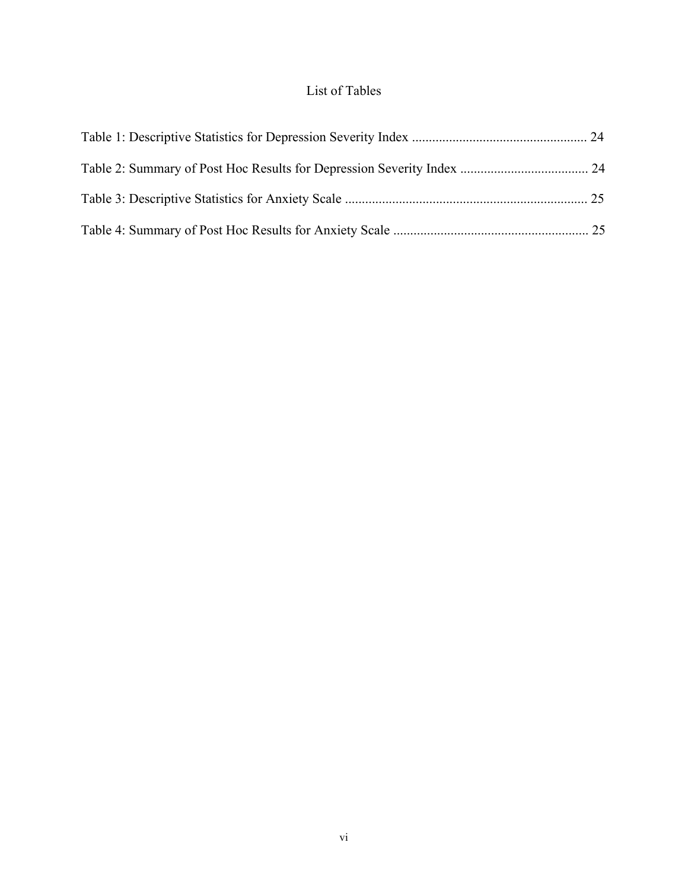# List of Tables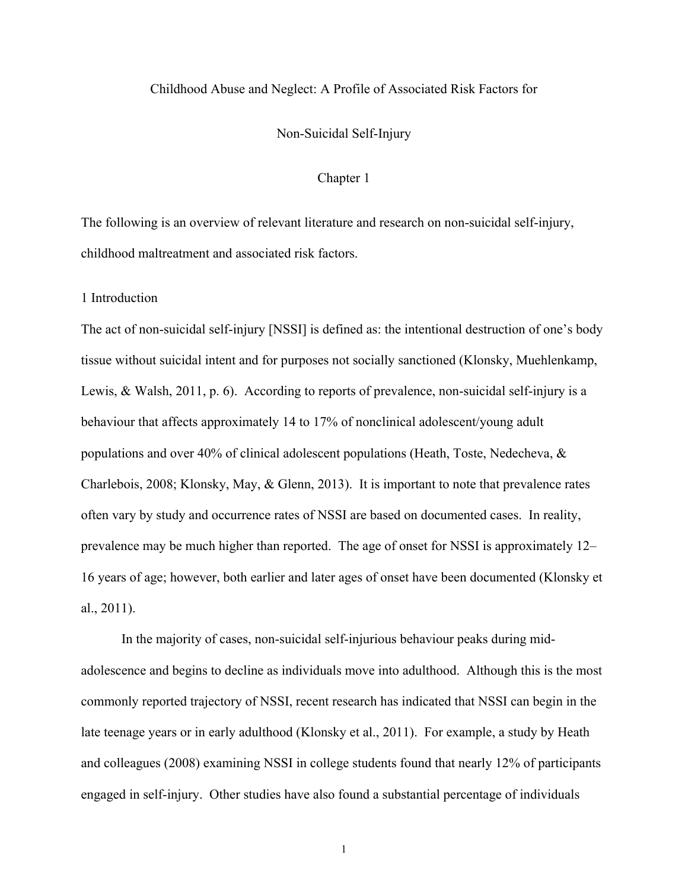# Childhood Abuse and Neglect: A Profile of Associated Risk Factors for

### Non-Suicidal Self-Injury

#### Chapter 1

The following is an overview of relevant literature and research on non-suicidal self-injury, childhood maltreatment and associated risk factors.

1 Introduction

The act of non-suicidal self-injury [NSSI] is defined as: the intentional destruction of one's body tissue without suicidal intent and for purposes not socially sanctioned (Klonsky, Muehlenkamp, Lewis, & Walsh, 2011, p. 6). According to reports of prevalence, non-suicidal self-injury is a behaviour that affects approximately 14 to 17% of nonclinical adolescent/young adult populations and over 40% of clinical adolescent populations (Heath, Toste, Nedecheva, & Charlebois, 2008; Klonsky, May, & Glenn, 2013). It is important to note that prevalence rates often vary by study and occurrence rates of NSSI are based on documented cases. In reality, prevalence may be much higher than reported. The age of onset for NSSI is approximately 12– 16 years of age; however, both earlier and later ages of onset have been documented (Klonsky et al., 2011).

In the majority of cases, non-suicidal self-injurious behaviour peaks during midadolescence and begins to decline as individuals move into adulthood. Although this is the most commonly reported trajectory of NSSI, recent research has indicated that NSSI can begin in the late teenage years or in early adulthood (Klonsky et al., 2011). For example, a study by Heath and colleagues (2008) examining NSSI in college students found that nearly 12% of participants engaged in self-injury. Other studies have also found a substantial percentage of individuals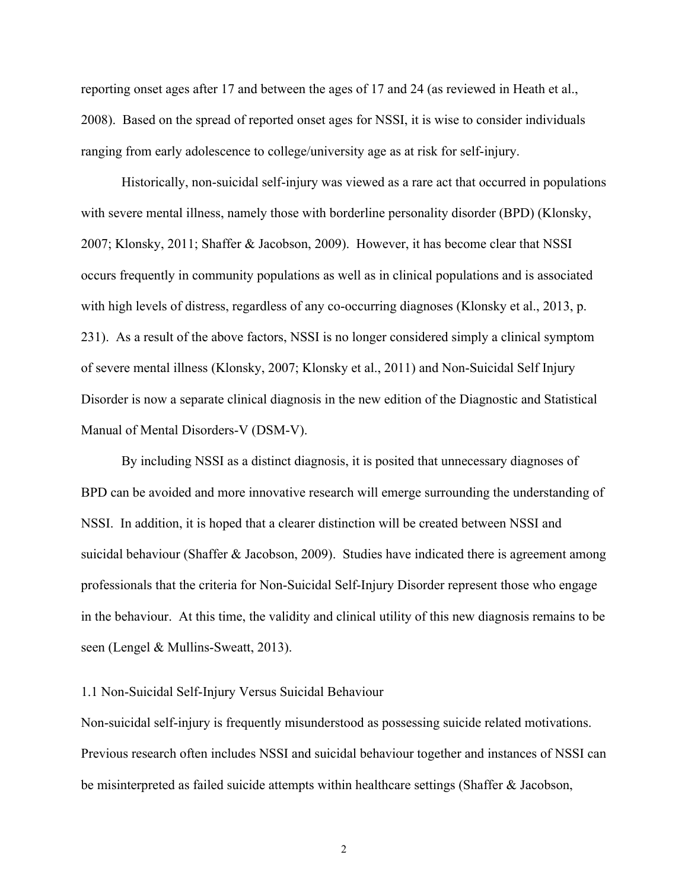reporting onset ages after 17 and between the ages of 17 and 24 (as reviewed in Heath et al., 2008). Based on the spread of reported onset ages for NSSI, it is wise to consider individuals ranging from early adolescence to college/university age as at risk for self-injury.

Historically, non-suicidal self-injury was viewed as a rare act that occurred in populations with severe mental illness, namely those with borderline personality disorder (BPD) (Klonsky, 2007; Klonsky, 2011; Shaffer & Jacobson, 2009). However, it has become clear that NSSI occurs frequently in community populations as well as in clinical populations and is associated with high levels of distress, regardless of any co-occurring diagnoses (Klonsky et al., 2013, p. 231). As a result of the above factors, NSSI is no longer considered simply a clinical symptom of severe mental illness (Klonsky, 2007; Klonsky et al., 2011) and Non-Suicidal Self Injury Disorder is now a separate clinical diagnosis in the new edition of the Diagnostic and Statistical Manual of Mental Disorders-V (DSM-V).

By including NSSI as a distinct diagnosis, it is posited that unnecessary diagnoses of BPD can be avoided and more innovative research will emerge surrounding the understanding of NSSI. In addition, it is hoped that a clearer distinction will be created between NSSI and suicidal behaviour (Shaffer & Jacobson, 2009). Studies have indicated there is agreement among professionals that the criteria for Non-Suicidal Self-Injury Disorder represent those who engage in the behaviour. At this time, the validity and clinical utility of this new diagnosis remains to be seen (Lengel & Mullins-Sweatt, 2013).

#### 1.1 Non-Suicidal Self-Injury Versus Suicidal Behaviour

Non-suicidal self-injury is frequently misunderstood as possessing suicide related motivations. Previous research often includes NSSI and suicidal behaviour together and instances of NSSI can be misinterpreted as failed suicide attempts within healthcare settings (Shaffer & Jacobson,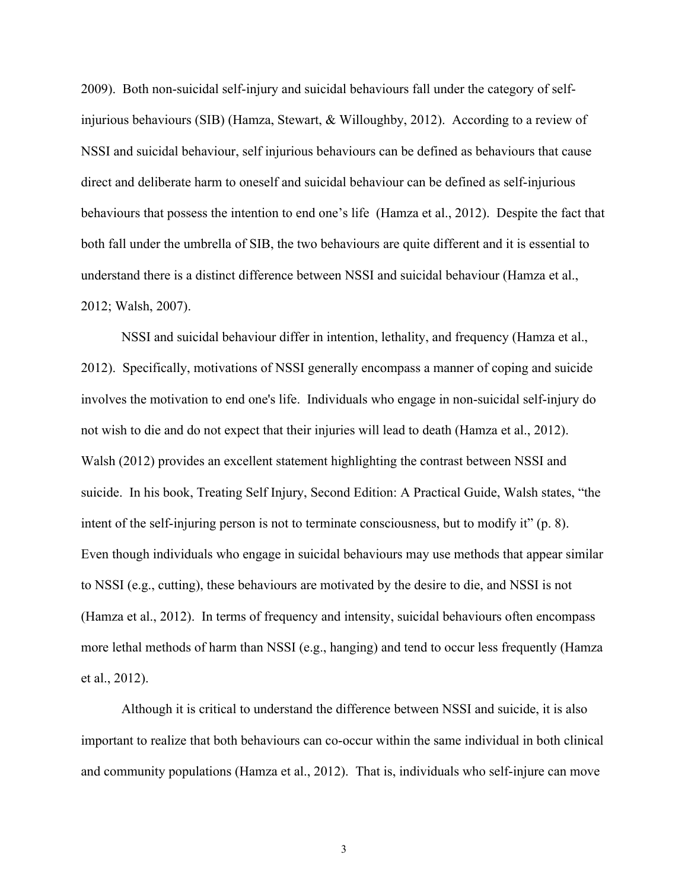2009). Both non-suicidal self-injury and suicidal behaviours fall under the category of selfinjurious behaviours (SIB) (Hamza, Stewart, & Willoughby, 2012). According to a review of NSSI and suicidal behaviour, self injurious behaviours can be defined as behaviours that cause direct and deliberate harm to oneself and suicidal behaviour can be defined as self-injurious behaviours that possess the intention to end one's life (Hamza et al., 2012). Despite the fact that both fall under the umbrella of SIB, the two behaviours are quite different and it is essential to understand there is a distinct difference between NSSI and suicidal behaviour (Hamza et al., 2012; Walsh, 2007).

NSSI and suicidal behaviour differ in intention, lethality, and frequency (Hamza et al., 2012). Specifically, motivations of NSSI generally encompass a manner of coping and suicide involves the motivation to end one's life. Individuals who engage in non-suicidal self-injury do not wish to die and do not expect that their injuries will lead to death (Hamza et al., 2012). Walsh (2012) provides an excellent statement highlighting the contrast between NSSI and suicide. In his book, Treating Self Injury, Second Edition: A Practical Guide, Walsh states, "the intent of the self-injuring person is not to terminate consciousness, but to modify it" (p. 8). Even though individuals who engage in suicidal behaviours may use methods that appear similar to NSSI (e.g., cutting), these behaviours are motivated by the desire to die, and NSSI is not (Hamza et al., 2012). In terms of frequency and intensity, suicidal behaviours often encompass more lethal methods of harm than NSSI (e.g., hanging) and tend to occur less frequently (Hamza et al., 2012).

Although it is critical to understand the difference between NSSI and suicide, it is also important to realize that both behaviours can co-occur within the same individual in both clinical and community populations (Hamza et al., 2012). That is, individuals who self-injure can move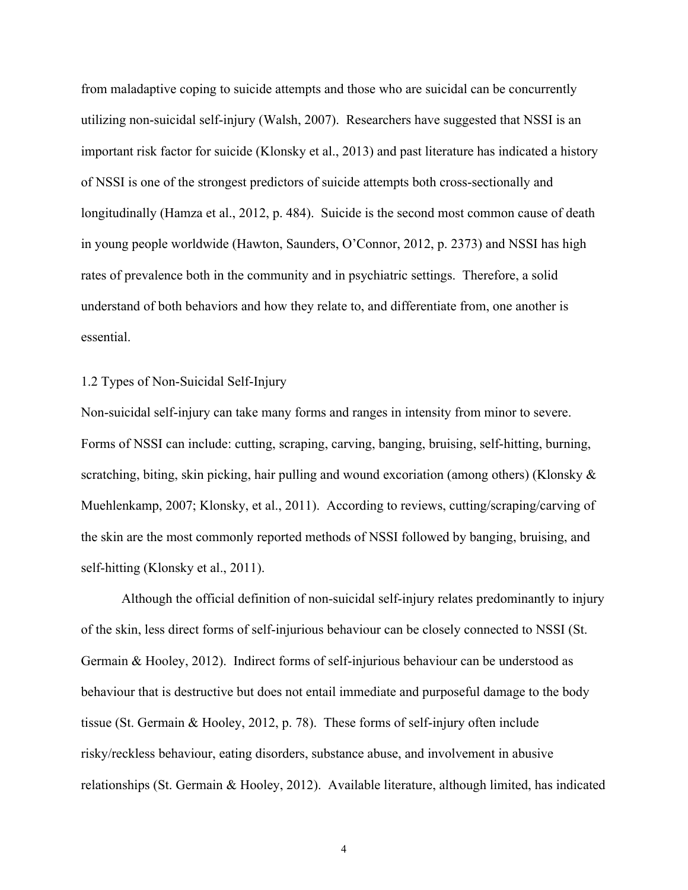from maladaptive coping to suicide attempts and those who are suicidal can be concurrently utilizing non-suicidal self-injury (Walsh, 2007). Researchers have suggested that NSSI is an important risk factor for suicide (Klonsky et al., 2013) and past literature has indicated a history of NSSI is one of the strongest predictors of suicide attempts both cross-sectionally and longitudinally (Hamza et al., 2012, p. 484). Suicide is the second most common cause of death in young people worldwide (Hawton, Saunders, O'Connor, 2012, p. 2373) and NSSI has high rates of prevalence both in the community and in psychiatric settings. Therefore, a solid understand of both behaviors and how they relate to, and differentiate from, one another is essential.

# 1.2 Types of Non-Suicidal Self-Injury

Non-suicidal self-injury can take many forms and ranges in intensity from minor to severe. Forms of NSSI can include: cutting, scraping, carving, banging, bruising, self-hitting, burning, scratching, biting, skin picking, hair pulling and wound excoriation (among others) (Klonsky & Muehlenkamp, 2007; Klonsky, et al., 2011). According to reviews, cutting/scraping/carving of the skin are the most commonly reported methods of NSSI followed by banging, bruising, and self-hitting (Klonsky et al., 2011).

Although the official definition of non-suicidal self-injury relates predominantly to injury of the skin, less direct forms of self-injurious behaviour can be closely connected to NSSI (St. Germain & Hooley, 2012). Indirect forms of self-injurious behaviour can be understood as behaviour that is destructive but does not entail immediate and purposeful damage to the body tissue (St. Germain & Hooley, 2012, p. 78). These forms of self-injury often include risky/reckless behaviour, eating disorders, substance abuse, and involvement in abusive relationships (St. Germain & Hooley, 2012). Available literature, although limited, has indicated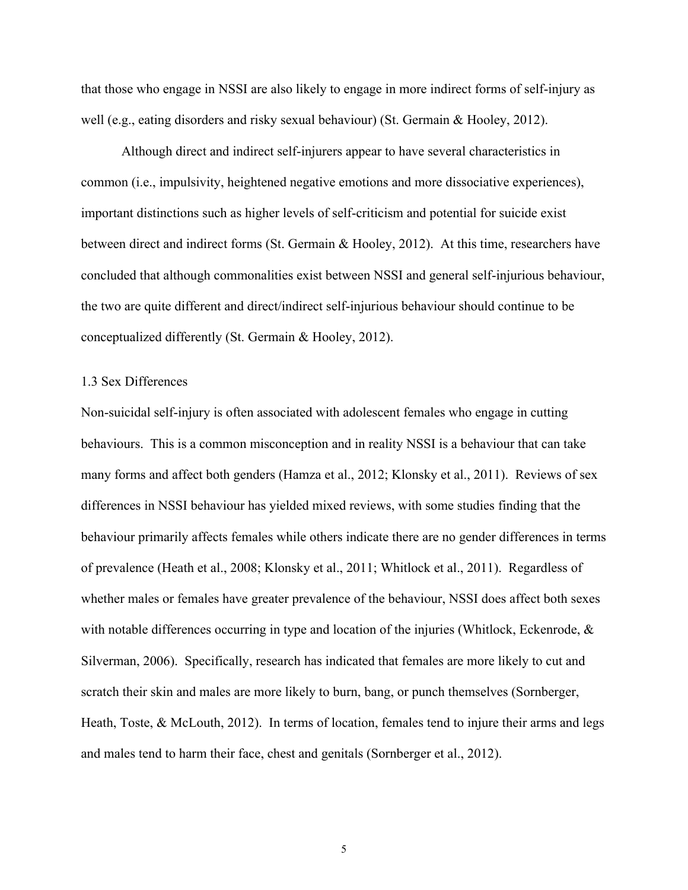that those who engage in NSSI are also likely to engage in more indirect forms of self-injury as well (e.g., eating disorders and risky sexual behaviour) (St. Germain & Hooley, 2012).

Although direct and indirect self-injurers appear to have several characteristics in common (i.e., impulsivity, heightened negative emotions and more dissociative experiences), important distinctions such as higher levels of self-criticism and potential for suicide exist between direct and indirect forms (St. Germain & Hooley, 2012). At this time, researchers have concluded that although commonalities exist between NSSI and general self-injurious behaviour, the two are quite different and direct/indirect self-injurious behaviour should continue to be conceptualized differently (St. Germain & Hooley, 2012).

#### 1.3 Sex Differences

Non-suicidal self-injury is often associated with adolescent females who engage in cutting behaviours. This is a common misconception and in reality NSSI is a behaviour that can take many forms and affect both genders (Hamza et al., 2012; Klonsky et al., 2011). Reviews of sex differences in NSSI behaviour has yielded mixed reviews, with some studies finding that the behaviour primarily affects females while others indicate there are no gender differences in terms of prevalence (Heath et al., 2008; Klonsky et al., 2011; Whitlock et al., 2011). Regardless of whether males or females have greater prevalence of the behaviour, NSSI does affect both sexes with notable differences occurring in type and location of the injuries (Whitlock, Eckenrode,  $\&$ Silverman, 2006). Specifically, research has indicated that females are more likely to cut and scratch their skin and males are more likely to burn, bang, or punch themselves (Sornberger, Heath, Toste, & McLouth, 2012). In terms of location, females tend to injure their arms and legs and males tend to harm their face, chest and genitals (Sornberger et al., 2012).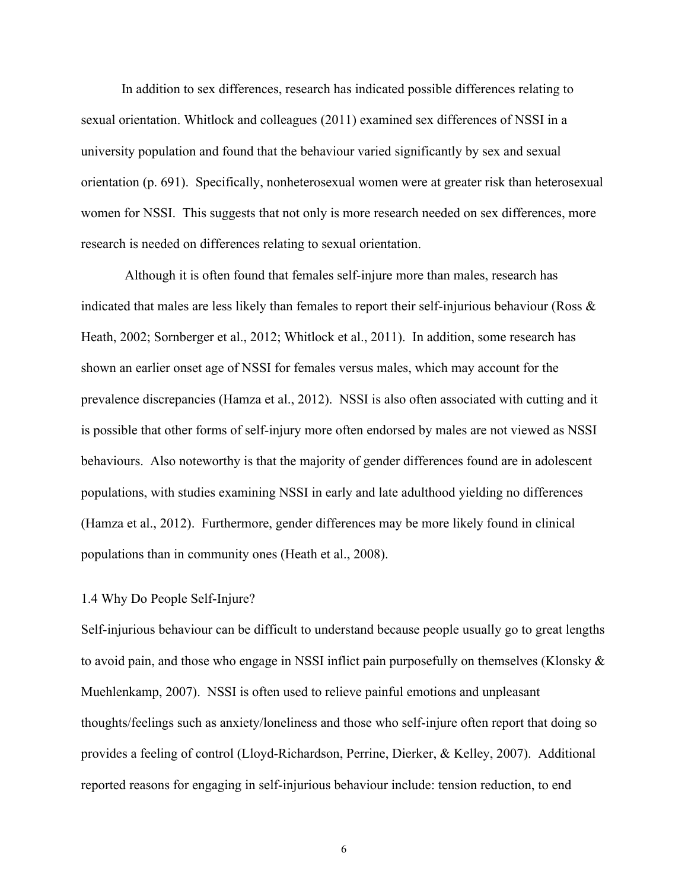In addition to sex differences, research has indicated possible differences relating to sexual orientation. Whitlock and colleagues (2011) examined sex differences of NSSI in a university population and found that the behaviour varied significantly by sex and sexual orientation (p. 691). Specifically, nonheterosexual women were at greater risk than heterosexual women for NSSI. This suggests that not only is more research needed on sex differences, more research is needed on differences relating to sexual orientation.

 Although it is often found that females self-injure more than males, research has indicated that males are less likely than females to report their self-injurious behaviour (Ross & Heath, 2002; Sornberger et al., 2012; Whitlock et al., 2011). In addition, some research has shown an earlier onset age of NSSI for females versus males, which may account for the prevalence discrepancies (Hamza et al., 2012). NSSI is also often associated with cutting and it is possible that other forms of self-injury more often endorsed by males are not viewed as NSSI behaviours. Also noteworthy is that the majority of gender differences found are in adolescent populations, with studies examining NSSI in early and late adulthood yielding no differences (Hamza et al., 2012). Furthermore, gender differences may be more likely found in clinical populations than in community ones (Heath et al., 2008).

# 1.4 Why Do People Self-Injure?

Self-injurious behaviour can be difficult to understand because people usually go to great lengths to avoid pain, and those who engage in NSSI inflict pain purposefully on themselves (Klonsky & Muehlenkamp, 2007). NSSI is often used to relieve painful emotions and unpleasant thoughts/feelings such as anxiety/loneliness and those who self-injure often report that doing so provides a feeling of control (Lloyd-Richardson, Perrine, Dierker, & Kelley, 2007). Additional reported reasons for engaging in self-injurious behaviour include: tension reduction, to end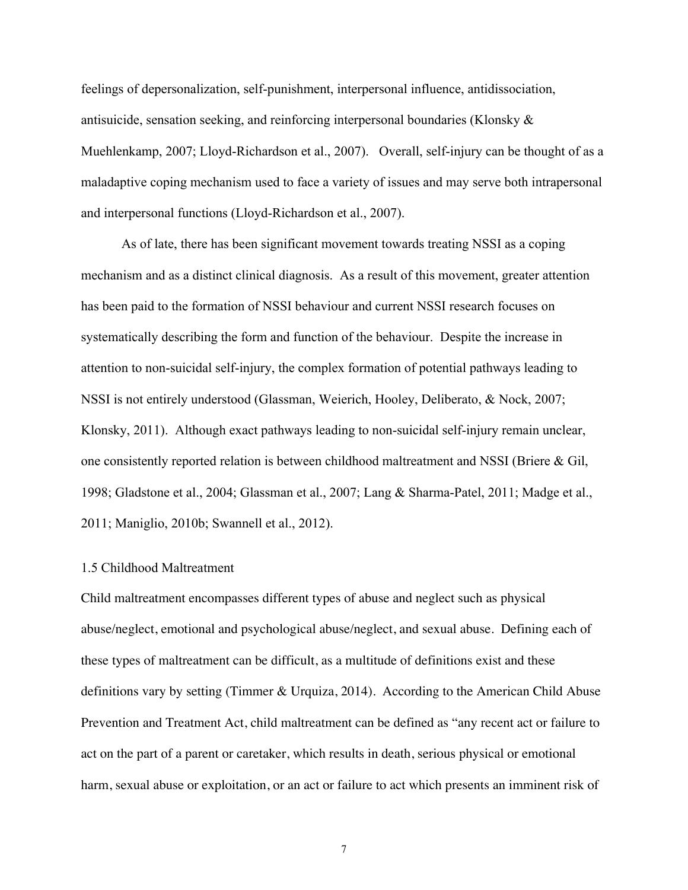feelings of depersonalization, self-punishment, interpersonal influence, antidissociation, antisuicide, sensation seeking, and reinforcing interpersonal boundaries (Klonsky  $\&$ Muehlenkamp, 2007; Lloyd-Richardson et al., 2007). Overall, self-injury can be thought of as a maladaptive coping mechanism used to face a variety of issues and may serve both intrapersonal and interpersonal functions (Lloyd-Richardson et al., 2007).

As of late, there has been significant movement towards treating NSSI as a coping mechanism and as a distinct clinical diagnosis. As a result of this movement, greater attention has been paid to the formation of NSSI behaviour and current NSSI research focuses on systematically describing the form and function of the behaviour. Despite the increase in attention to non-suicidal self-injury, the complex formation of potential pathways leading to NSSI is not entirely understood (Glassman, Weierich, Hooley, Deliberato, & Nock, 2007; Klonsky, 2011). Although exact pathways leading to non-suicidal self-injury remain unclear, one consistently reported relation is between childhood maltreatment and NSSI (Briere & Gil, 1998; Gladstone et al., 2004; Glassman et al., 2007; Lang & Sharma-Patel, 2011; Madge et al., 2011; Maniglio, 2010b; Swannell et al., 2012).

#### 1.5 Childhood Maltreatment

Child maltreatment encompasses different types of abuse and neglect such as physical abuse/neglect, emotional and psychological abuse/neglect, and sexual abuse. Defining each of these types of maltreatment can be difficult, as a multitude of definitions exist and these definitions vary by setting (Timmer & Urquiza, 2014). According to the American Child Abuse Prevention and Treatment Act, child maltreatment can be defined as "any recent act or failure to act on the part of a parent or caretaker, which results in death, serious physical or emotional harm, sexual abuse or exploitation, or an act or failure to act which presents an imminent risk of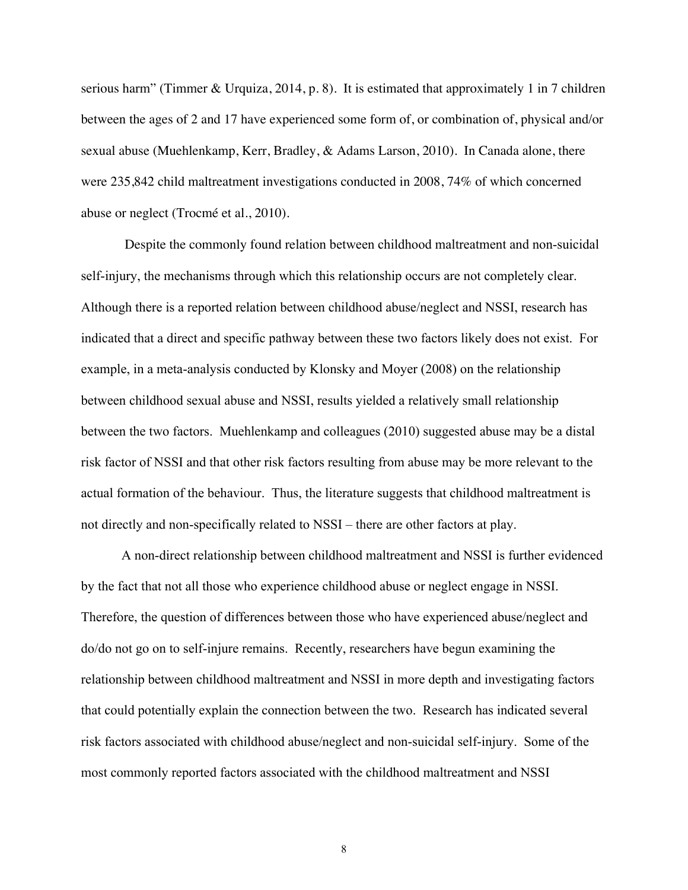serious harm" (Timmer & Urquiza, 2014, p. 8). It is estimated that approximately 1 in 7 children between the ages of 2 and 17 have experienced some form of, or combination of, physical and/or sexual abuse (Muehlenkamp, Kerr, Bradley, & Adams Larson, 2010). In Canada alone, there were 235,842 child maltreatment investigations conducted in 2008, 74% of which concerned abuse or neglect (Trocmé et al., 2010).

 Despite the commonly found relation between childhood maltreatment and non-suicidal self-injury, the mechanisms through which this relationship occurs are not completely clear. Although there is a reported relation between childhood abuse/neglect and NSSI, research has indicated that a direct and specific pathway between these two factors likely does not exist. For example, in a meta-analysis conducted by Klonsky and Moyer (2008) on the relationship between childhood sexual abuse and NSSI, results yielded a relatively small relationship between the two factors. Muehlenkamp and colleagues (2010) suggested abuse may be a distal risk factor of NSSI and that other risk factors resulting from abuse may be more relevant to the actual formation of the behaviour. Thus, the literature suggests that childhood maltreatment is not directly and non-specifically related to NSSI – there are other factors at play.

A non-direct relationship between childhood maltreatment and NSSI is further evidenced by the fact that not all those who experience childhood abuse or neglect engage in NSSI. Therefore, the question of differences between those who have experienced abuse/neglect and do/do not go on to self-injure remains. Recently, researchers have begun examining the relationship between childhood maltreatment and NSSI in more depth and investigating factors that could potentially explain the connection between the two. Research has indicated several risk factors associated with childhood abuse/neglect and non-suicidal self-injury. Some of the most commonly reported factors associated with the childhood maltreatment and NSSI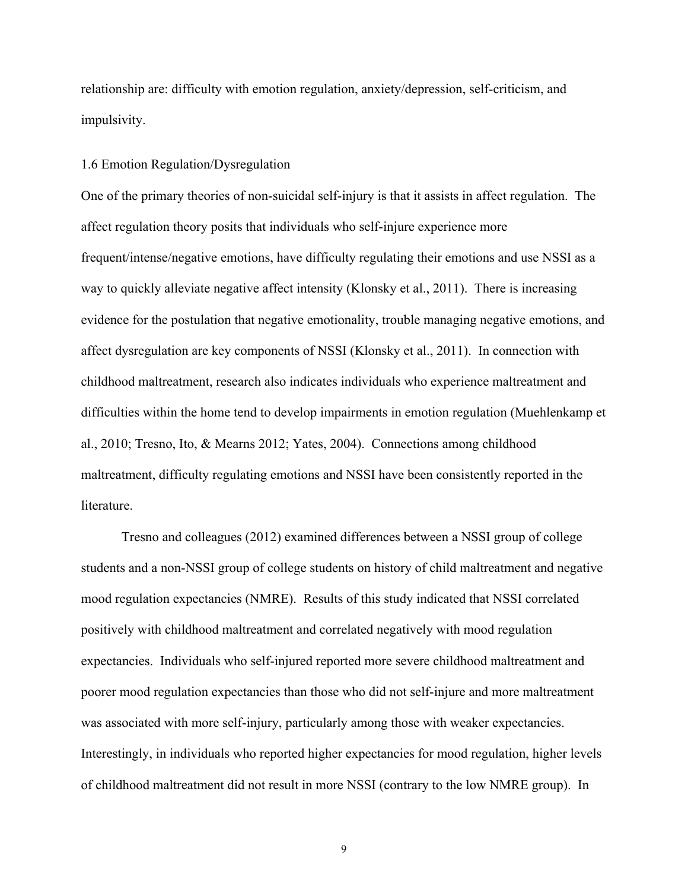relationship are: difficulty with emotion regulation, anxiety/depression, self-criticism, and impulsivity.

#### 1.6 Emotion Regulation/Dysregulation

One of the primary theories of non-suicidal self-injury is that it assists in affect regulation. The affect regulation theory posits that individuals who self-injure experience more frequent/intense/negative emotions, have difficulty regulating their emotions and use NSSI as a way to quickly alleviate negative affect intensity (Klonsky et al., 2011). There is increasing evidence for the postulation that negative emotionality, trouble managing negative emotions, and affect dysregulation are key components of NSSI (Klonsky et al., 2011). In connection with childhood maltreatment, research also indicates individuals who experience maltreatment and difficulties within the home tend to develop impairments in emotion regulation (Muehlenkamp et al., 2010; Tresno, Ito, & Mearns 2012; Yates, 2004). Connections among childhood maltreatment, difficulty regulating emotions and NSSI have been consistently reported in the literature.

Tresno and colleagues (2012) examined differences between a NSSI group of college students and a non-NSSI group of college students on history of child maltreatment and negative mood regulation expectancies (NMRE). Results of this study indicated that NSSI correlated positively with childhood maltreatment and correlated negatively with mood regulation expectancies. Individuals who self-injured reported more severe childhood maltreatment and poorer mood regulation expectancies than those who did not self-injure and more maltreatment was associated with more self-injury, particularly among those with weaker expectancies. Interestingly, in individuals who reported higher expectancies for mood regulation, higher levels of childhood maltreatment did not result in more NSSI (contrary to the low NMRE group). In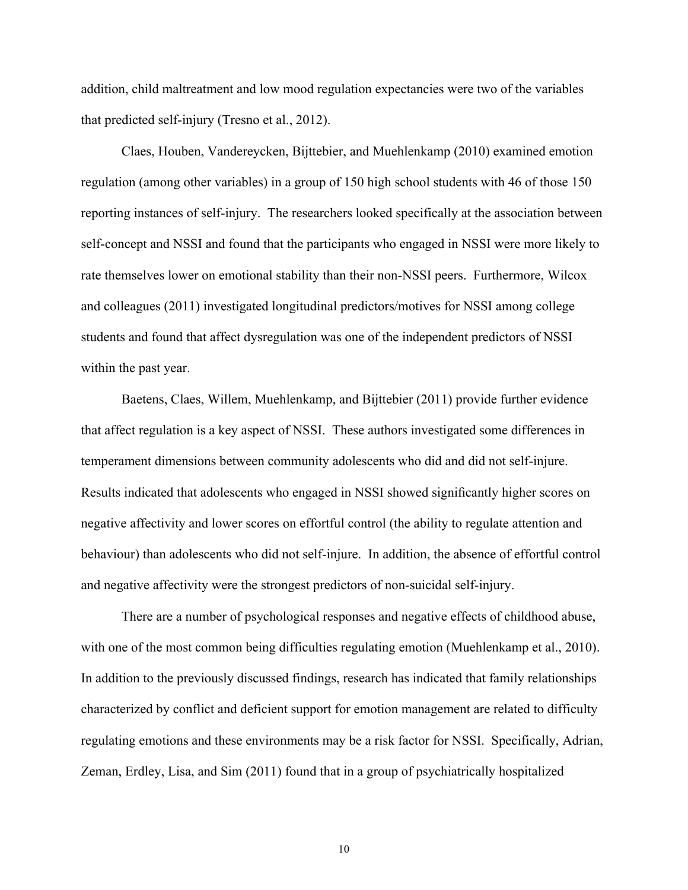addition, child maltreatment and low mood regulation expectancies were two of the variables that predicted self-injury (Tresno et al., 2012).

Claes, Houben, Vandereycken, Bijttebier, and Muehlenkamp (2010) examined emotion regulation (among other variables) in a group of 150 high school students with 46 of those 150 reporting instances of self-injury. The researchers looked specifically at the association between self-concept and NSSI and found that the participants who engaged in NSSI were more likely to rate themselves lower on emotional stability than their non-NSSI peers. Furthermore, Wilcox and colleagues (2011) investigated longitudinal predictors/motives for NSSI among college students and found that affect dysregulation was one of the independent predictors of NSSI within the past year.

Baetens, Claes, Willem, Muehlenkamp, and Bijttebier (2011) provide further evidence that affect regulation is a key aspect of NSSI. These authors investigated some differences in temperament dimensions between community adolescents who did and did not self-injure. Results indicated that adolescents who engaged in NSSI showed significantly higher scores on negative affectivity and lower scores on effortful control (the ability to regulate attention and behaviour) than adolescents who did not self-injure. In addition, the absence of effortful control and negative affectivity were the strongest predictors of non-suicidal self-injury.

There are a number of psychological responses and negative effects of childhood abuse, with one of the most common being difficulties regulating emotion (Muehlenkamp et al., 2010). In addition to the previously discussed findings, research has indicated that family relationships characterized by conflict and deficient support for emotion management are related to difficulty regulating emotions and these environments may be a risk factor for NSSI. Specifically, Adrian, Zeman, Erdley, Lisa, and Sim (2011) found that in a group of psychiatrically hospitalized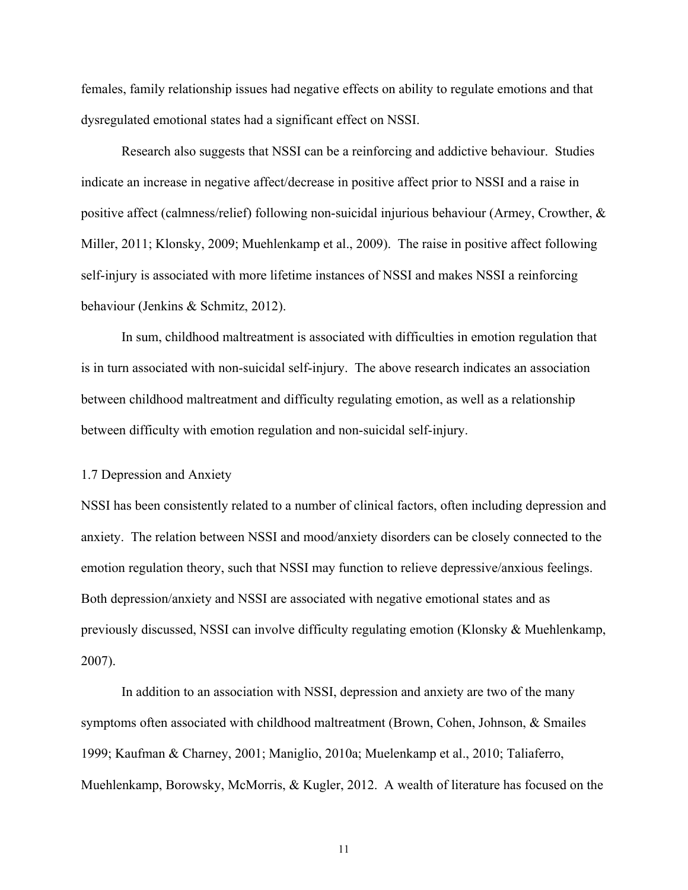females, family relationship issues had negative effects on ability to regulate emotions and that dysregulated emotional states had a significant effect on NSSI.

Research also suggests that NSSI can be a reinforcing and addictive behaviour. Studies indicate an increase in negative affect/decrease in positive affect prior to NSSI and a raise in positive affect (calmness/relief) following non-suicidal injurious behaviour (Armey, Crowther, & Miller, 2011; Klonsky, 2009; Muehlenkamp et al., 2009). The raise in positive affect following self-injury is associated with more lifetime instances of NSSI and makes NSSI a reinforcing behaviour (Jenkins & Schmitz, 2012).

In sum, childhood maltreatment is associated with difficulties in emotion regulation that is in turn associated with non-suicidal self-injury. The above research indicates an association between childhood maltreatment and difficulty regulating emotion, as well as a relationship between difficulty with emotion regulation and non-suicidal self-injury.

#### 1.7 Depression and Anxiety

NSSI has been consistently related to a number of clinical factors, often including depression and anxiety. The relation between NSSI and mood/anxiety disorders can be closely connected to the emotion regulation theory, such that NSSI may function to relieve depressive/anxious feelings. Both depression/anxiety and NSSI are associated with negative emotional states and as previously discussed, NSSI can involve difficulty regulating emotion (Klonsky & Muehlenkamp, 2007).

In addition to an association with NSSI, depression and anxiety are two of the many symptoms often associated with childhood maltreatment (Brown, Cohen, Johnson, & Smailes 1999; Kaufman & Charney, 2001; Maniglio, 2010a; Muelenkamp et al., 2010; Taliaferro, Muehlenkamp, Borowsky, McMorris, & Kugler, 2012. A wealth of literature has focused on the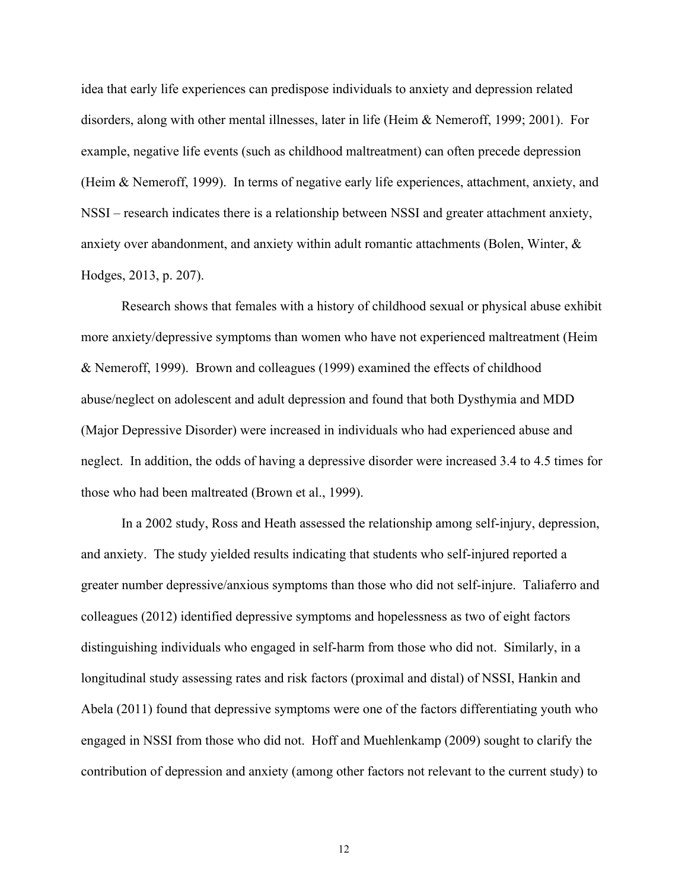idea that early life experiences can predispose individuals to anxiety and depression related disorders, along with other mental illnesses, later in life (Heim & Nemeroff, 1999; 2001). For example, negative life events (such as childhood maltreatment) can often precede depression (Heim & Nemeroff, 1999). In terms of negative early life experiences, attachment, anxiety, and NSSI – research indicates there is a relationship between NSSI and greater attachment anxiety, anxiety over abandonment, and anxiety within adult romantic attachments (Bolen, Winter, & Hodges, 2013, p. 207).

Research shows that females with a history of childhood sexual or physical abuse exhibit more anxiety/depressive symptoms than women who have not experienced maltreatment (Heim & Nemeroff, 1999). Brown and colleagues (1999) examined the effects of childhood abuse/neglect on adolescent and adult depression and found that both Dysthymia and MDD (Major Depressive Disorder) were increased in individuals who had experienced abuse and neglect. In addition, the odds of having a depressive disorder were increased 3.4 to 4.5 times for those who had been maltreated (Brown et al., 1999).

In a 2002 study, Ross and Heath assessed the relationship among self-injury, depression, and anxiety. The study yielded results indicating that students who self-injured reported a greater number depressive/anxious symptoms than those who did not self-injure. Taliaferro and colleagues (2012) identified depressive symptoms and hopelessness as two of eight factors distinguishing individuals who engaged in self-harm from those who did not. Similarly, in a longitudinal study assessing rates and risk factors (proximal and distal) of NSSI, Hankin and Abela (2011) found that depressive symptoms were one of the factors differentiating youth who engaged in NSSI from those who did not. Hoff and Muehlenkamp (2009) sought to clarify the contribution of depression and anxiety (among other factors not relevant to the current study) to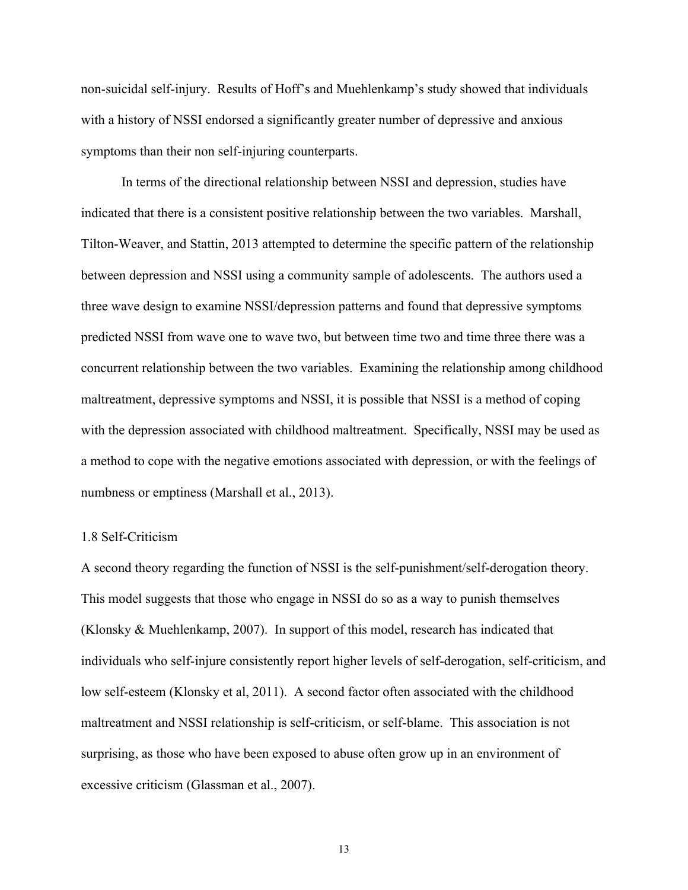non-suicidal self-injury. Results of Hoff's and Muehlenkamp's study showed that individuals with a history of NSSI endorsed a significantly greater number of depressive and anxious symptoms than their non self-injuring counterparts.

In terms of the directional relationship between NSSI and depression, studies have indicated that there is a consistent positive relationship between the two variables. Marshall, Tilton-Weaver, and Stattin, 2013 attempted to determine the specific pattern of the relationship between depression and NSSI using a community sample of adolescents. The authors used a three wave design to examine NSSI/depression patterns and found that depressive symptoms predicted NSSI from wave one to wave two, but between time two and time three there was a concurrent relationship between the two variables. Examining the relationship among childhood maltreatment, depressive symptoms and NSSI, it is possible that NSSI is a method of coping with the depression associated with childhood maltreatment. Specifically, NSSI may be used as a method to cope with the negative emotions associated with depression, or with the feelings of numbness or emptiness (Marshall et al., 2013).

#### 1.8 Self-Criticism

A second theory regarding the function of NSSI is the self-punishment/self-derogation theory. This model suggests that those who engage in NSSI do so as a way to punish themselves (Klonsky & Muehlenkamp, 2007). In support of this model, research has indicated that individuals who self-injure consistently report higher levels of self-derogation, self-criticism, and low self-esteem (Klonsky et al, 2011). A second factor often associated with the childhood maltreatment and NSSI relationship is self-criticism, or self-blame. This association is not surprising, as those who have been exposed to abuse often grow up in an environment of excessive criticism (Glassman et al., 2007).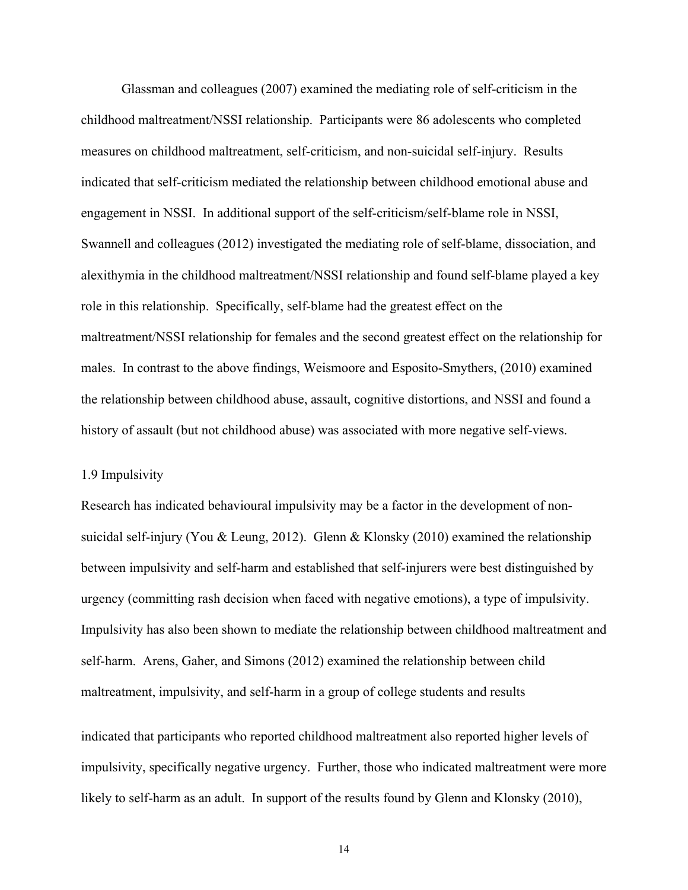Glassman and colleagues (2007) examined the mediating role of self-criticism in the childhood maltreatment/NSSI relationship. Participants were 86 adolescents who completed measures on childhood maltreatment, self-criticism, and non-suicidal self-injury. Results indicated that self-criticism mediated the relationship between childhood emotional abuse and engagement in NSSI. In additional support of the self-criticism/self-blame role in NSSI, Swannell and colleagues (2012) investigated the mediating role of self-blame, dissociation, and alexithymia in the childhood maltreatment/NSSI relationship and found self-blame played a key role in this relationship. Specifically, self-blame had the greatest effect on the maltreatment/NSSI relationship for females and the second greatest effect on the relationship for males. In contrast to the above findings, Weismoore and Esposito-Smythers, (2010) examined the relationship between childhood abuse, assault, cognitive distortions, and NSSI and found a history of assault (but not childhood abuse) was associated with more negative self-views.

#### 1.9 Impulsivity

Research has indicated behavioural impulsivity may be a factor in the development of nonsuicidal self-injury (You & Leung, 2012). Glenn & Klonsky (2010) examined the relationship between impulsivity and self-harm and established that self-injurers were best distinguished by urgency (committing rash decision when faced with negative emotions), a type of impulsivity. Impulsivity has also been shown to mediate the relationship between childhood maltreatment and self-harm. Arens, Gaher, and Simons (2012) examined the relationship between child maltreatment, impulsivity, and self-harm in a group of college students and results

indicated that participants who reported childhood maltreatment also reported higher levels of impulsivity, specifically negative urgency. Further, those who indicated maltreatment were more likely to self-harm as an adult. In support of the results found by Glenn and Klonsky (2010),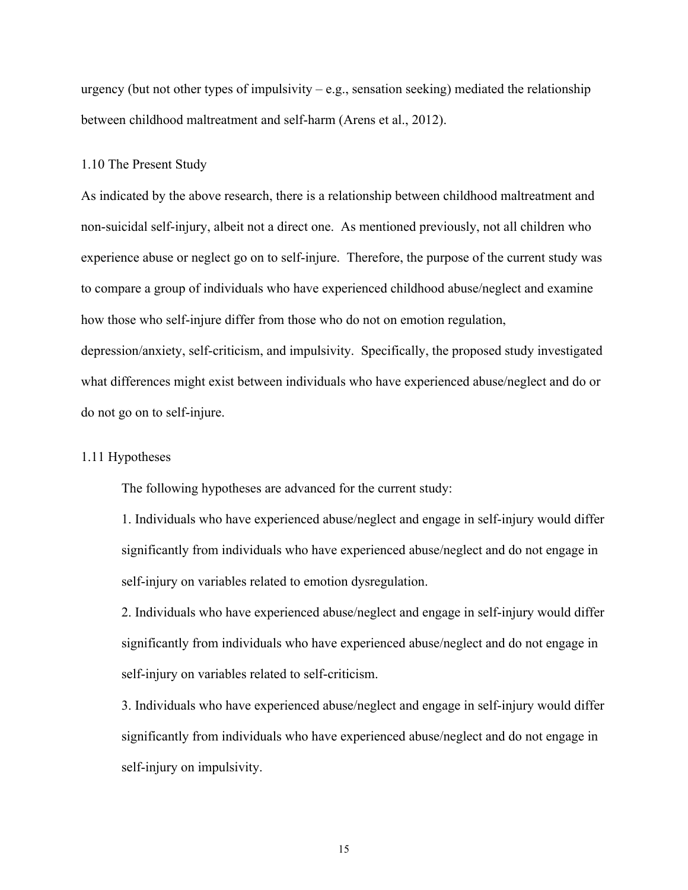urgency (but not other types of impulsivity  $-e.g.,$  sensation seeking) mediated the relationship between childhood maltreatment and self-harm (Arens et al., 2012).

#### 1.10 The Present Study

As indicated by the above research, there is a relationship between childhood maltreatment and non-suicidal self-injury, albeit not a direct one. As mentioned previously, not all children who experience abuse or neglect go on to self-injure. Therefore, the purpose of the current study was to compare a group of individuals who have experienced childhood abuse/neglect and examine how those who self-injure differ from those who do not on emotion regulation,

depression/anxiety, self-criticism, and impulsivity. Specifically, the proposed study investigated what differences might exist between individuals who have experienced abuse/neglect and do or do not go on to self-injure.

#### 1.11 Hypotheses

The following hypotheses are advanced for the current study:

1. Individuals who have experienced abuse/neglect and engage in self-injury would differ significantly from individuals who have experienced abuse/neglect and do not engage in self-injury on variables related to emotion dysregulation.

2. Individuals who have experienced abuse/neglect and engage in self-injury would differ significantly from individuals who have experienced abuse/neglect and do not engage in self-injury on variables related to self-criticism.

3. Individuals who have experienced abuse/neglect and engage in self-injury would differ significantly from individuals who have experienced abuse/neglect and do not engage in self-injury on impulsivity.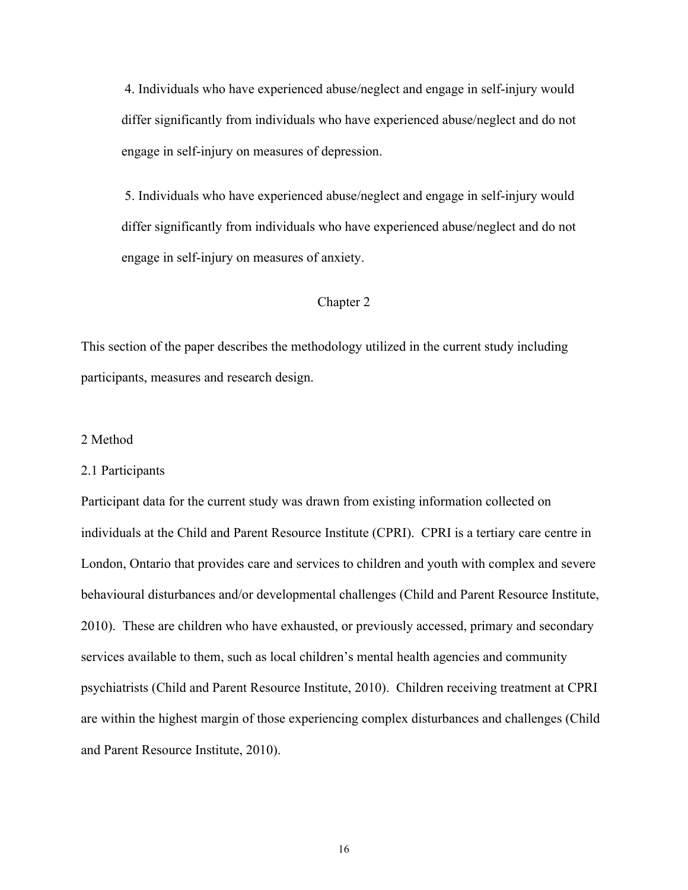4. Individuals who have experienced abuse/neglect and engage in self-injury would differ significantly from individuals who have experienced abuse/neglect and do not engage in self-injury on measures of depression.

5. Individuals who have experienced abuse/neglect and engage in self-injury would differ significantly from individuals who have experienced abuse/neglect and do not engage in self-injury on measures of anxiety.

# Chapter 2

This section of the paper describes the methodology utilized in the current study including participants, measures and research design.

# 2 Method

#### 2.1 Participants

Participant data for the current study was drawn from existing information collected on individuals at the Child and Parent Resource Institute (CPRI). CPRI is a tertiary care centre in London, Ontario that provides care and services to children and youth with complex and severe behavioural disturbances and/or developmental challenges (Child and Parent Resource Institute, 2010). These are children who have exhausted, or previously accessed, primary and secondary services available to them, such as local children's mental health agencies and community psychiatrists (Child and Parent Resource Institute, 2010). Children receiving treatment at CPRI are within the highest margin of those experiencing complex disturbances and challenges (Child and Parent Resource Institute, 2010).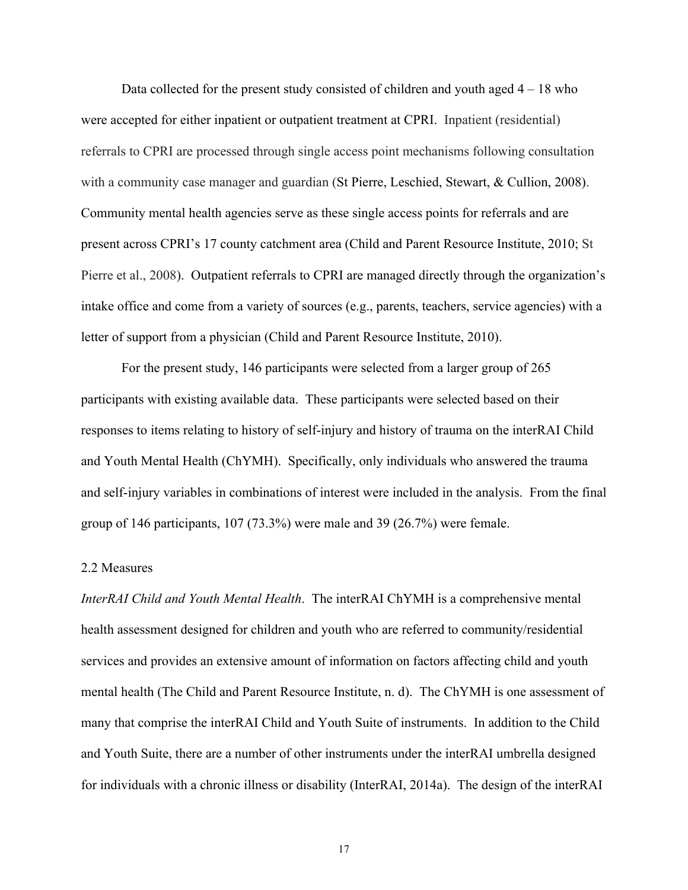Data collected for the present study consisted of children and youth aged  $4 - 18$  who were accepted for either inpatient or outpatient treatment at CPRI. Inpatient (residential) referrals to CPRI are processed through single access point mechanisms following consultation with a community case manager and guardian (St Pierre, Leschied, Stewart, & Cullion, 2008). Community mental health agencies serve as these single access points for referrals and are present across CPRI's 17 county catchment area (Child and Parent Resource Institute, 2010; St Pierre et al., 2008). Outpatient referrals to CPRI are managed directly through the organization's intake office and come from a variety of sources (e.g., parents, teachers, service agencies) with a letter of support from a physician (Child and Parent Resource Institute, 2010).

For the present study, 146 participants were selected from a larger group of 265 participants with existing available data. These participants were selected based on their responses to items relating to history of self-injury and history of trauma on the interRAI Child and Youth Mental Health (ChYMH). Specifically, only individuals who answered the trauma and self-injury variables in combinations of interest were included in the analysis. From the final group of 146 participants, 107 (73.3%) were male and 39 (26.7%) were female.

#### 2.2 Measures

*InterRAI Child and Youth Mental Health*. The interRAI ChYMH is a comprehensive mental health assessment designed for children and youth who are referred to community/residential services and provides an extensive amount of information on factors affecting child and youth mental health (The Child and Parent Resource Institute, n. d). The ChYMH is one assessment of many that comprise the interRAI Child and Youth Suite of instruments. In addition to the Child and Youth Suite, there are a number of other instruments under the interRAI umbrella designed for individuals with a chronic illness or disability (InterRAI, 2014a). The design of the interRAI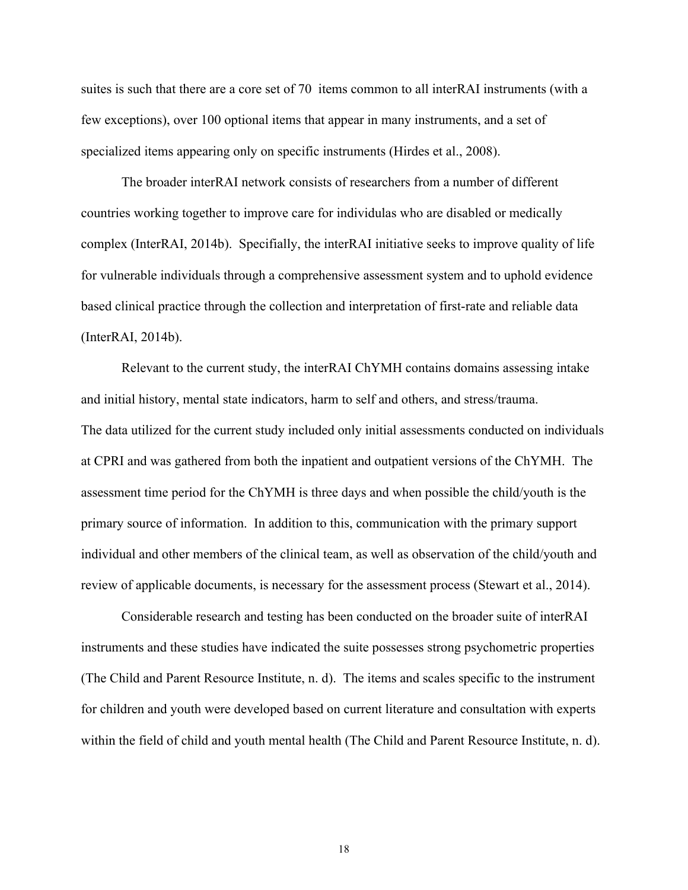suites is such that there are a core set of 70 items common to all interRAI instruments (with a few exceptions), over 100 optional items that appear in many instruments, and a set of specialized items appearing only on specific instruments (Hirdes et al., 2008).

The broader interRAI network consists of researchers from a number of different countries working together to improve care for individulas who are disabled or medically complex (InterRAI, 2014b). Specifially, the interRAI initiative seeks to improve quality of life for vulnerable individuals through a comprehensive assessment system and to uphold evidence based clinical practice through the collection and interpretation of first-rate and reliable data (InterRAI, 2014b).

Relevant to the current study, the interRAI ChYMH contains domains assessing intake and initial history, mental state indicators, harm to self and others, and stress/trauma. The data utilized for the current study included only initial assessments conducted on individuals at CPRI and was gathered from both the inpatient and outpatient versions of the ChYMH. The assessment time period for the ChYMH is three days and when possible the child/youth is the primary source of information. In addition to this, communication with the primary support individual and other members of the clinical team, as well as observation of the child/youth and review of applicable documents, is necessary for the assessment process (Stewart et al., 2014).

Considerable research and testing has been conducted on the broader suite of interRAI instruments and these studies have indicated the suite possesses strong psychometric properties (The Child and Parent Resource Institute, n. d). The items and scales specific to the instrument for children and youth were developed based on current literature and consultation with experts within the field of child and youth mental health (The Child and Parent Resource Institute, n. d).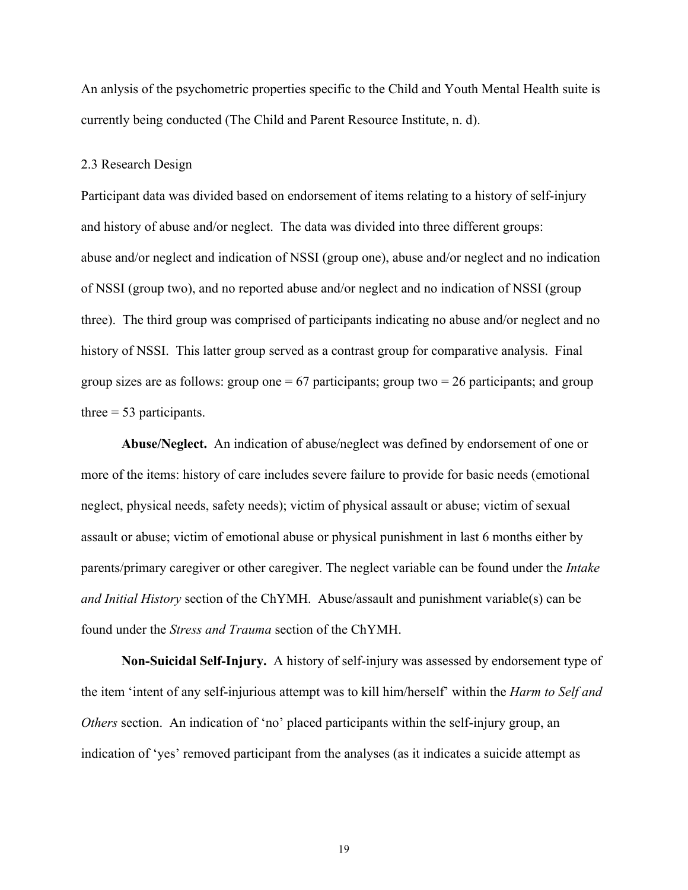An anlysis of the psychometric properties specific to the Child and Youth Mental Health suite is currently being conducted (The Child and Parent Resource Institute, n. d).

#### 2.3 Research Design

Participant data was divided based on endorsement of items relating to a history of self-injury and history of abuse and/or neglect. The data was divided into three different groups: abuse and/or neglect and indication of NSSI (group one), abuse and/or neglect and no indication of NSSI (group two), and no reported abuse and/or neglect and no indication of NSSI (group three). The third group was comprised of participants indicating no abuse and/or neglect and no history of NSSI. This latter group served as a contrast group for comparative analysis. Final group sizes are as follows: group one  $= 67$  participants; group two  $= 26$  participants; and group three  $= 53$  participants.

**Abuse/Neglect.** An indication of abuse/neglect was defined by endorsement of one or more of the items: history of care includes severe failure to provide for basic needs (emotional neglect, physical needs, safety needs); victim of physical assault or abuse; victim of sexual assault or abuse; victim of emotional abuse or physical punishment in last 6 months either by parents/primary caregiver or other caregiver. The neglect variable can be found under the *Intake and Initial History* section of the ChYMH. Abuse/assault and punishment variable(s) can be found under the *Stress and Trauma* section of the ChYMH.

**Non-Suicidal Self-Injury.** A history of self-injury was assessed by endorsement type of the item 'intent of any self-injurious attempt was to kill him/herself' within the *Harm to Self and Others* section. An indication of 'no' placed participants within the self-injury group, an indication of 'yes' removed participant from the analyses (as it indicates a suicide attempt as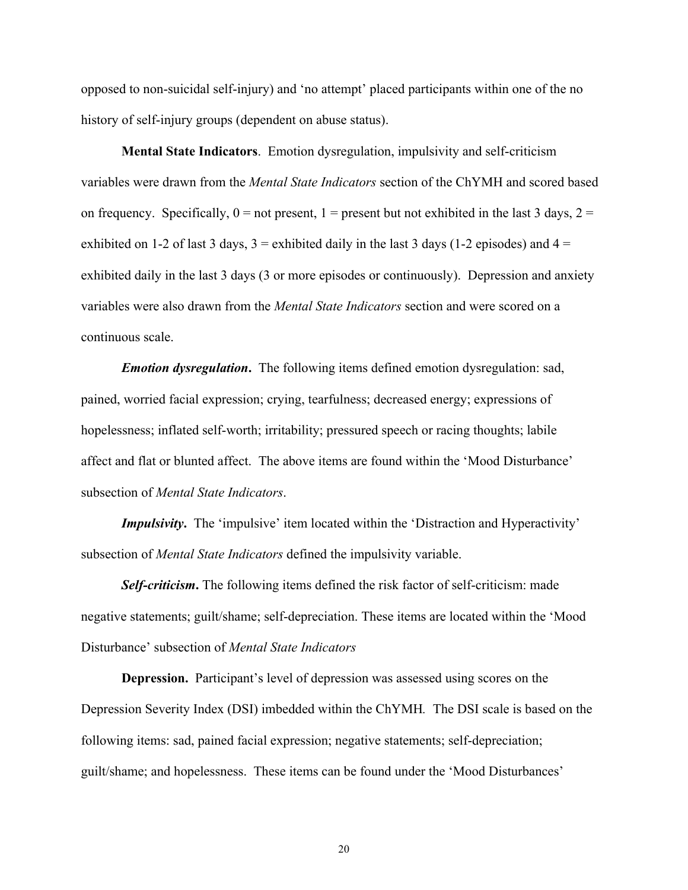opposed to non-suicidal self-injury) and 'no attempt' placed participants within one of the no history of self-injury groups (dependent on abuse status).

**Mental State Indicators**. Emotion dysregulation, impulsivity and self-criticism variables were drawn from the *Mental State Indicators* section of the ChYMH and scored based on frequency. Specifically,  $0 =$  not present,  $1 =$  present but not exhibited in the last 3 days,  $2 =$ exhibited on 1-2 of last 3 days,  $3 =$  exhibited daily in the last 3 days (1-2 episodes) and  $4 =$ exhibited daily in the last 3 days (3 or more episodes or continuously). Depression and anxiety variables were also drawn from the *Mental State Indicators* section and were scored on a continuous scale.

*Emotion dysregulation***.** The following items defined emotion dysregulation: sad, pained, worried facial expression; crying, tearfulness; decreased energy; expressions of hopelessness; inflated self-worth; irritability; pressured speech or racing thoughts; labile affect and flat or blunted affect. The above items are found within the 'Mood Disturbance' subsection of *Mental State Indicators*.

*Impulsivity*. The 'impulsive' item located within the 'Distraction and Hyperactivity' subsection of *Mental State Indicators* defined the impulsivity variable.

*Self-criticism***.** The following items defined the risk factor of self-criticism: made negative statements; guilt/shame; self-depreciation. These items are located within the 'Mood Disturbance' subsection of *Mental State Indicators*

**Depression.** Participant's level of depression was assessed using scores on the Depression Severity Index (DSI) imbedded within the ChYMH*.* The DSI scale is based on the following items: sad, pained facial expression; negative statements; self-depreciation; guilt/shame; and hopelessness. These items can be found under the 'Mood Disturbances'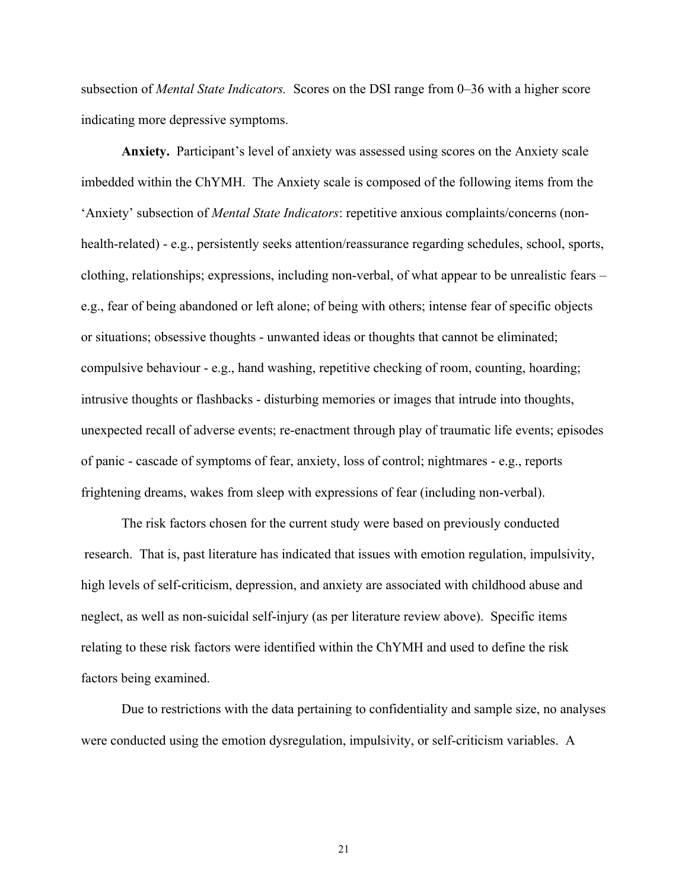subsection of *Mental State Indicators.* Scores on the DSI range from 0–36 with a higher score indicating more depressive symptoms.

**Anxiety.** Participant's level of anxiety was assessed using scores on the Anxiety scale imbedded within the ChYMH. The Anxiety scale is composed of the following items from the 'Anxiety' subsection of *Mental State Indicators*: repetitive anxious complaints/concerns (nonhealth-related) - e.g., persistently seeks attention/reassurance regarding schedules, school, sports, clothing, relationships; expressions, including non-verbal, of what appear to be unrealistic fears – e.g., fear of being abandoned or left alone; of being with others; intense fear of specific objects or situations; obsessive thoughts - unwanted ideas or thoughts that cannot be eliminated; compulsive behaviour - e.g., hand washing, repetitive checking of room, counting, hoarding; intrusive thoughts or flashbacks - disturbing memories or images that intrude into thoughts, unexpected recall of adverse events; re-enactment through play of traumatic life events; episodes of panic - cascade of symptoms of fear, anxiety, loss of control; nightmares - e.g., reports frightening dreams, wakes from sleep with expressions of fear (including non-verbal).

The risk factors chosen for the current study were based on previously conducted research. That is, past literature has indicated that issues with emotion regulation, impulsivity, high levels of self-criticism, depression, and anxiety are associated with childhood abuse and neglect, as well as non-suicidal self-injury (as per literature review above). Specific items relating to these risk factors were identified within the ChYMH and used to define the risk factors being examined.

Due to restrictions with the data pertaining to confidentiality and sample size, no analyses were conducted using the emotion dysregulation, impulsivity, or self-criticism variables. A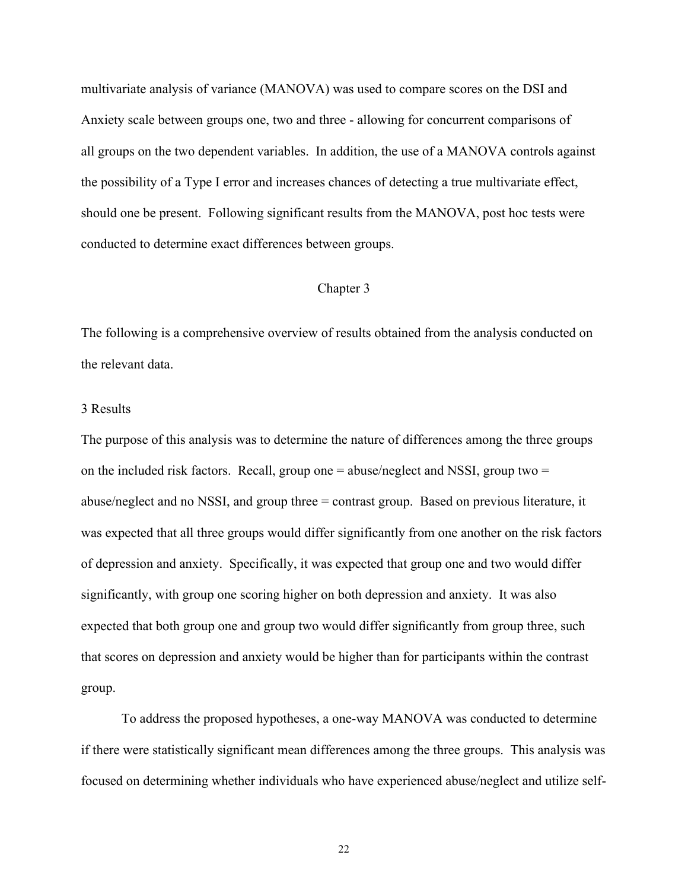multivariate analysis of variance (MANOVA) was used to compare scores on the DSI and Anxiety scale between groups one, two and three - allowing for concurrent comparisons of all groups on the two dependent variables. In addition, the use of a MANOVA controls against the possibility of a Type I error and increases chances of detecting a true multivariate effect, should one be present. Following significant results from the MANOVA, post hoc tests were conducted to determine exact differences between groups.

#### Chapter 3

The following is a comprehensive overview of results obtained from the analysis conducted on the relevant data.

# 3 Results

The purpose of this analysis was to determine the nature of differences among the three groups on the included risk factors. Recall, group one  $=$  abuse/neglect and NSSI, group two  $=$ abuse/neglect and no NSSI, and group three = contrast group. Based on previous literature, it was expected that all three groups would differ significantly from one another on the risk factors of depression and anxiety. Specifically, it was expected that group one and two would differ significantly, with group one scoring higher on both depression and anxiety. It was also expected that both group one and group two would differ significantly from group three, such that scores on depression and anxiety would be higher than for participants within the contrast group.

To address the proposed hypotheses, a one-way MANOVA was conducted to determine if there were statistically significant mean differences among the three groups. This analysis was focused on determining whether individuals who have experienced abuse/neglect and utilize self-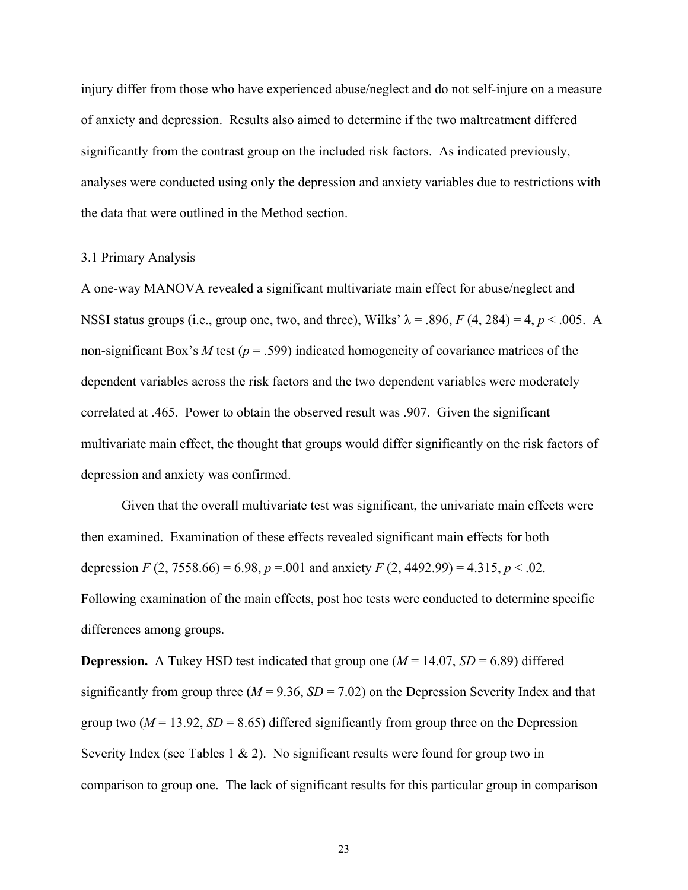injury differ from those who have experienced abuse/neglect and do not self-injure on a measure of anxiety and depression. Results also aimed to determine if the two maltreatment differed significantly from the contrast group on the included risk factors. As indicated previously, analyses were conducted using only the depression and anxiety variables due to restrictions with the data that were outlined in the Method section.

#### 3.1 Primary Analysis

A one-way MANOVA revealed a significant multivariate main effect for abuse/neglect and NSSI status groups (i.e., group one, two, and three), Wilks'  $\lambda$  = .896, *F* (4, 284) = 4, *p* < .005. A non-significant Box's *M* test ( $p = .599$ ) indicated homogeneity of covariance matrices of the dependent variables across the risk factors and the two dependent variables were moderately correlated at .465. Power to obtain the observed result was .907. Given the significant multivariate main effect, the thought that groups would differ significantly on the risk factors of depression and anxiety was confirmed.

Given that the overall multivariate test was significant, the univariate main effects were then examined. Examination of these effects revealed significant main effects for both depression *F* (2, 7558.66) = 6.98, *p* = .001 and anxiety *F* (2, 4492.99) = 4.315, *p* < .02. Following examination of the main effects, post hoc tests were conducted to determine specific differences among groups.

**Depression.** A Tukey HSD test indicated that group one  $(M = 14.07, SD = 6.89)$  differed significantly from group three ( $M = 9.36$ ,  $SD = 7.02$ ) on the Depression Severity Index and that group two  $(M = 13.92, SD = 8.65)$  differed significantly from group three on the Depression Severity Index (see Tables 1  $\&$  2). No significant results were found for group two in comparison to group one. The lack of significant results for this particular group in comparison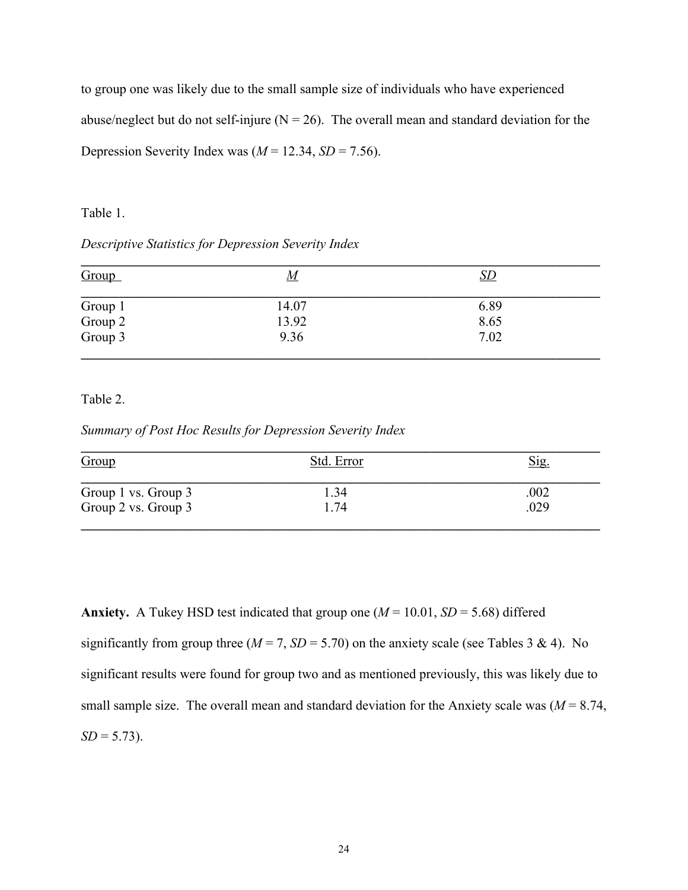to group one was likely due to the small sample size of individuals who have experienced abuse/neglect but do not self-injure ( $N = 26$ ). The overall mean and standard deviation for the Depression Severity Index was  $(M = 12.34, SD = 7.56)$ .

# Table 1.

# *Descriptive Statistics for Depression Severity Index*

| Group                         | <u>М</u> | <u>SD</u> |  |
|-------------------------------|----------|-----------|--|
|                               | 14.07    | 6.89      |  |
|                               | 13.92    | 8.65      |  |
| Group 1<br>Group 2<br>Group 3 | 9.36     | 7.02      |  |

Table 2.

*Summary of Post Hoc Results for Depression Severity Index*

| Group               | Std. Error | Sig. |
|---------------------|------------|------|
| Group 1 vs. Group 3 | 1.34       | .002 |
| Group 2 vs. Group 3 | 1.74       | .029 |

**Anxiety.** A Tukey HSD test indicated that group one  $(M = 10.01, SD = 5.68)$  differed significantly from group three  $(M = 7, SD = 5.70)$  on the anxiety scale (see Tables 3 & 4). No significant results were found for group two and as mentioned previously, this was likely due to small sample size. The overall mean and standard deviation for the Anxiety scale was  $(M = 8.74)$ ,  $SD = 5.73$ .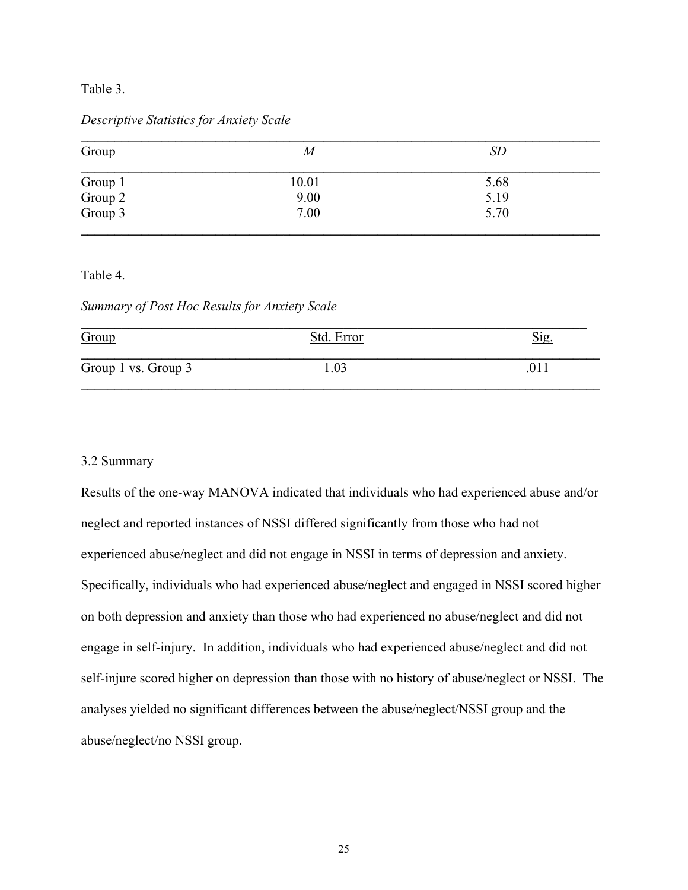# Table 3.

# *Descriptive Statistics for Anxiety Scale*

| Group                         | <u>M</u> | <u>SD</u> |  |
|-------------------------------|----------|-----------|--|
|                               | 10.01    | 5.68      |  |
|                               | 9.00     | 5.19      |  |
| Group 1<br>Group 2<br>Group 3 | 7.00     | 5.70      |  |

Table 4.

*Summary of Post Hoc Results for Anxiety Scale*

| Group               | Std. Error | Sig. |
|---------------------|------------|------|
| Group 1 vs. Group 3 | .03        |      |

# 3.2 Summary

Results of the one-way MANOVA indicated that individuals who had experienced abuse and/or neglect and reported instances of NSSI differed significantly from those who had not experienced abuse/neglect and did not engage in NSSI in terms of depression and anxiety. Specifically, individuals who had experienced abuse/neglect and engaged in NSSI scored higher on both depression and anxiety than those who had experienced no abuse/neglect and did not engage in self-injury. In addition, individuals who had experienced abuse/neglect and did not self-injure scored higher on depression than those with no history of abuse/neglect or NSSI. The analyses yielded no significant differences between the abuse/neglect/NSSI group and the abuse/neglect/no NSSI group.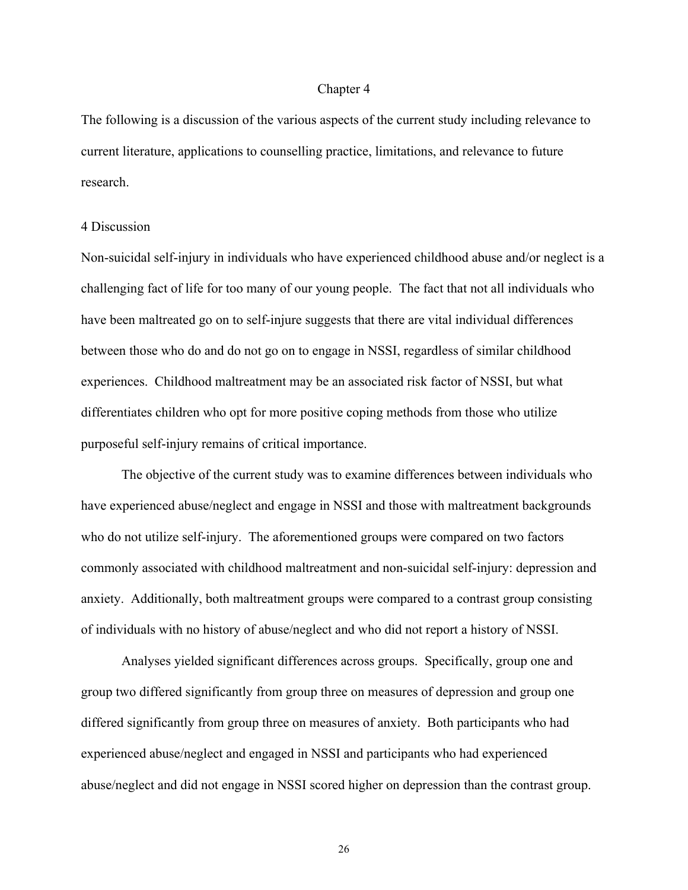#### Chapter 4

The following is a discussion of the various aspects of the current study including relevance to current literature, applications to counselling practice, limitations, and relevance to future research.

#### 4 Discussion

Non-suicidal self-injury in individuals who have experienced childhood abuse and/or neglect is a challenging fact of life for too many of our young people. The fact that not all individuals who have been maltreated go on to self-injure suggests that there are vital individual differences between those who do and do not go on to engage in NSSI, regardless of similar childhood experiences. Childhood maltreatment may be an associated risk factor of NSSI, but what differentiates children who opt for more positive coping methods from those who utilize purposeful self-injury remains of critical importance.

The objective of the current study was to examine differences between individuals who have experienced abuse/neglect and engage in NSSI and those with maltreatment backgrounds who do not utilize self-injury. The aforementioned groups were compared on two factors commonly associated with childhood maltreatment and non-suicidal self-injury: depression and anxiety. Additionally, both maltreatment groups were compared to a contrast group consisting of individuals with no history of abuse/neglect and who did not report a history of NSSI.

Analyses yielded significant differences across groups. Specifically, group one and group two differed significantly from group three on measures of depression and group one differed significantly from group three on measures of anxiety. Both participants who had experienced abuse/neglect and engaged in NSSI and participants who had experienced abuse/neglect and did not engage in NSSI scored higher on depression than the contrast group.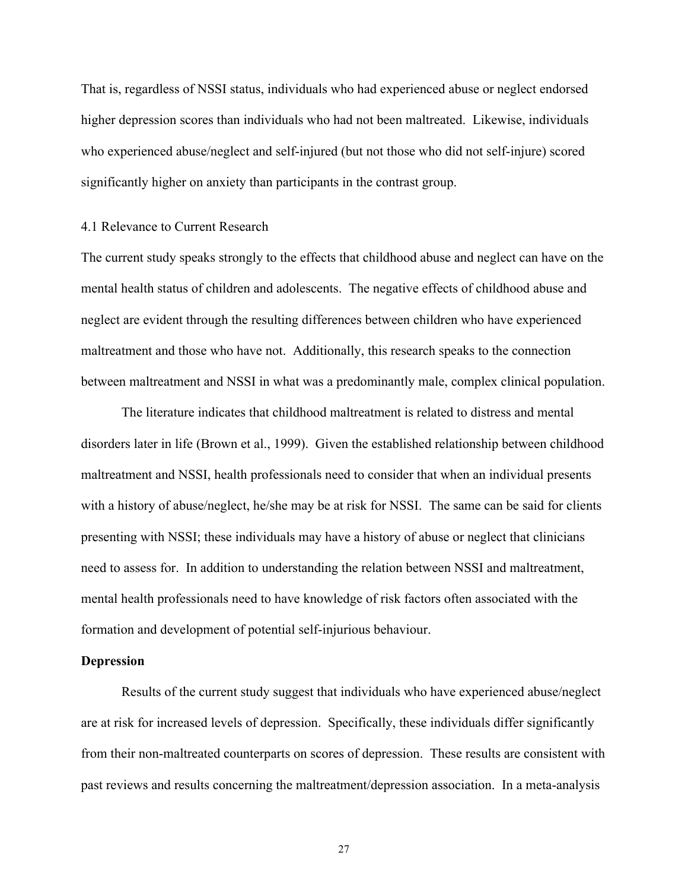That is, regardless of NSSI status, individuals who had experienced abuse or neglect endorsed higher depression scores than individuals who had not been maltreated. Likewise, individuals who experienced abuse/neglect and self-injured (but not those who did not self-injure) scored significantly higher on anxiety than participants in the contrast group.

#### 4.1 Relevance to Current Research

The current study speaks strongly to the effects that childhood abuse and neglect can have on the mental health status of children and adolescents. The negative effects of childhood abuse and neglect are evident through the resulting differences between children who have experienced maltreatment and those who have not. Additionally, this research speaks to the connection between maltreatment and NSSI in what was a predominantly male, complex clinical population.

The literature indicates that childhood maltreatment is related to distress and mental disorders later in life (Brown et al., 1999). Given the established relationship between childhood maltreatment and NSSI, health professionals need to consider that when an individual presents with a history of abuse/neglect, he/she may be at risk for NSSI. The same can be said for clients presenting with NSSI; these individuals may have a history of abuse or neglect that clinicians need to assess for. In addition to understanding the relation between NSSI and maltreatment, mental health professionals need to have knowledge of risk factors often associated with the formation and development of potential self-injurious behaviour.

# **Depression**

Results of the current study suggest that individuals who have experienced abuse/neglect are at risk for increased levels of depression. Specifically, these individuals differ significantly from their non-maltreated counterparts on scores of depression. These results are consistent with past reviews and results concerning the maltreatment/depression association. In a meta-analysis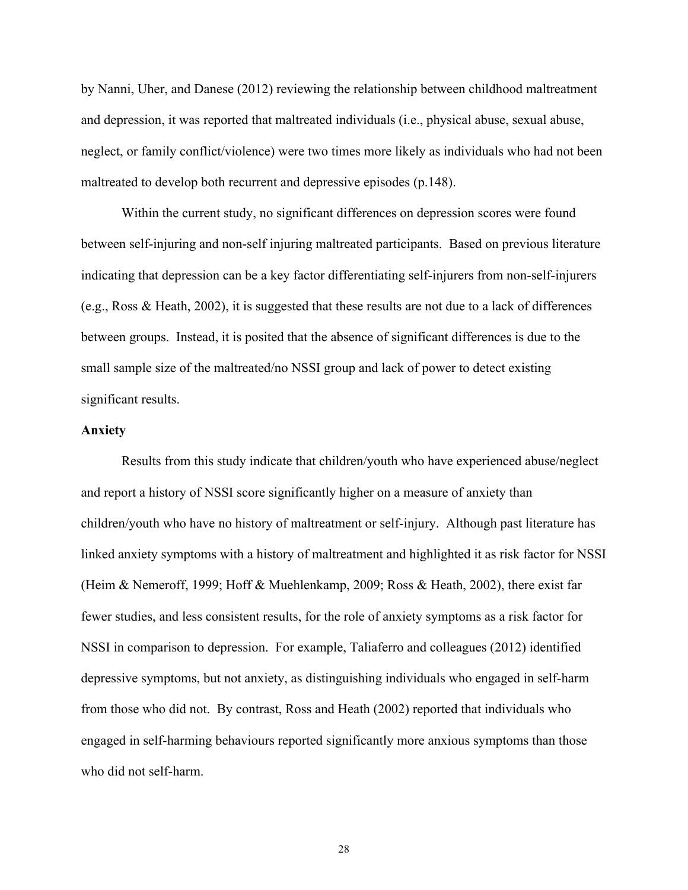by Nanni, Uher, and Danese (2012) reviewing the relationship between childhood maltreatment and depression, it was reported that maltreated individuals (i.e., physical abuse, sexual abuse, neglect, or family conflict/violence) were two times more likely as individuals who had not been maltreated to develop both recurrent and depressive episodes (p.148).

Within the current study, no significant differences on depression scores were found between self-injuring and non-self injuring maltreated participants. Based on previous literature indicating that depression can be a key factor differentiating self-injurers from non-self-injurers (e.g., Ross & Heath, 2002), it is suggested that these results are not due to a lack of differences between groups. Instead, it is posited that the absence of significant differences is due to the small sample size of the maltreated/no NSSI group and lack of power to detect existing significant results.

# **Anxiety**

Results from this study indicate that children/youth who have experienced abuse/neglect and report a history of NSSI score significantly higher on a measure of anxiety than children/youth who have no history of maltreatment or self-injury. Although past literature has linked anxiety symptoms with a history of maltreatment and highlighted it as risk factor for NSSI (Heim & Nemeroff, 1999; Hoff & Muehlenkamp, 2009; Ross & Heath, 2002), there exist far fewer studies, and less consistent results, for the role of anxiety symptoms as a risk factor for NSSI in comparison to depression. For example, Taliaferro and colleagues (2012) identified depressive symptoms, but not anxiety, as distinguishing individuals who engaged in self-harm from those who did not. By contrast, Ross and Heath (2002) reported that individuals who engaged in self-harming behaviours reported significantly more anxious symptoms than those who did not self-harm.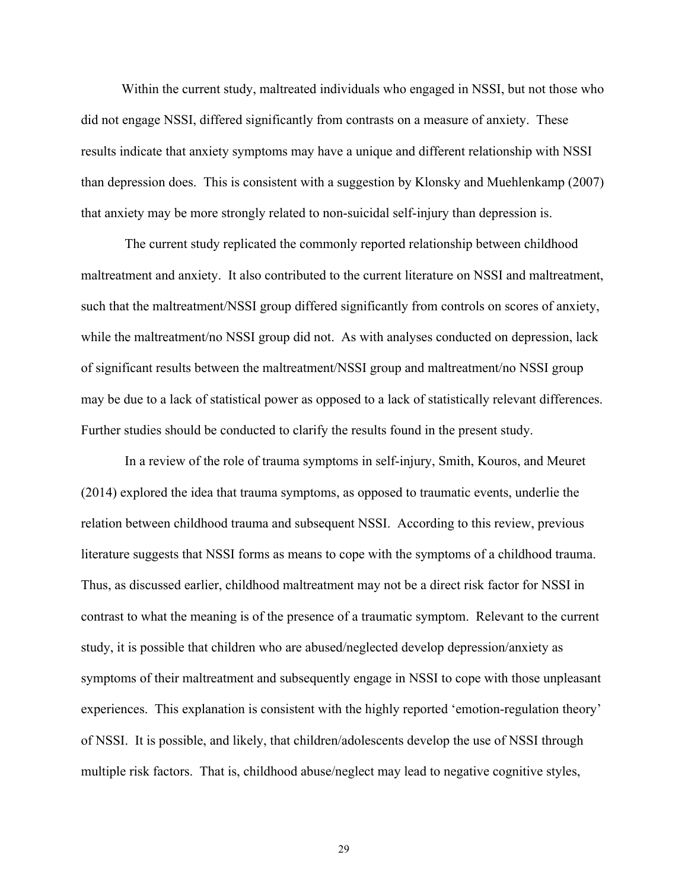Within the current study, maltreated individuals who engaged in NSSI, but not those who did not engage NSSI, differed significantly from contrasts on a measure of anxiety. These results indicate that anxiety symptoms may have a unique and different relationship with NSSI than depression does. This is consistent with a suggestion by Klonsky and Muehlenkamp (2007) that anxiety may be more strongly related to non-suicidal self-injury than depression is.

 The current study replicated the commonly reported relationship between childhood maltreatment and anxiety. It also contributed to the current literature on NSSI and maltreatment, such that the maltreatment/NSSI group differed significantly from controls on scores of anxiety, while the maltreatment/no NSSI group did not. As with analyses conducted on depression, lack of significant results between the maltreatment/NSSI group and maltreatment/no NSSI group may be due to a lack of statistical power as opposed to a lack of statistically relevant differences. Further studies should be conducted to clarify the results found in the present study.

 In a review of the role of trauma symptoms in self-injury, Smith, Kouros, and Meuret (2014) explored the idea that trauma symptoms, as opposed to traumatic events, underlie the relation between childhood trauma and subsequent NSSI. According to this review, previous literature suggests that NSSI forms as means to cope with the symptoms of a childhood trauma. Thus, as discussed earlier, childhood maltreatment may not be a direct risk factor for NSSI in contrast to what the meaning is of the presence of a traumatic symptom. Relevant to the current study, it is possible that children who are abused/neglected develop depression/anxiety as symptoms of their maltreatment and subsequently engage in NSSI to cope with those unpleasant experiences. This explanation is consistent with the highly reported 'emotion-regulation theory' of NSSI. It is possible, and likely, that children/adolescents develop the use of NSSI through multiple risk factors. That is, childhood abuse/neglect may lead to negative cognitive styles,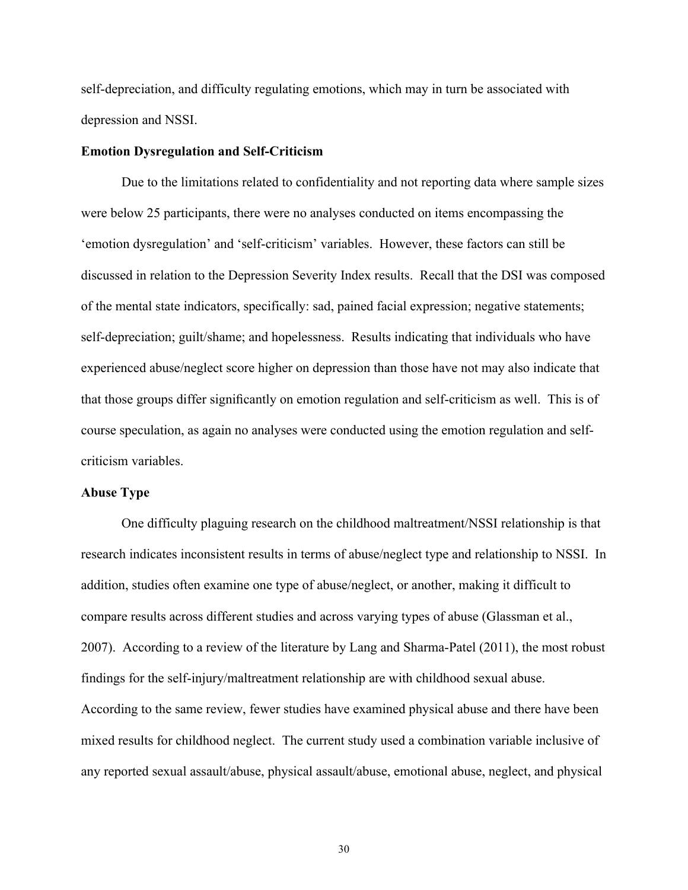self-depreciation, and difficulty regulating emotions, which may in turn be associated with depression and NSSI.

#### **Emotion Dysregulation and Self-Criticism**

Due to the limitations related to confidentiality and not reporting data where sample sizes were below 25 participants, there were no analyses conducted on items encompassing the 'emotion dysregulation' and 'self-criticism' variables. However, these factors can still be discussed in relation to the Depression Severity Index results. Recall that the DSI was composed of the mental state indicators, specifically: sad, pained facial expression; negative statements; self-depreciation; guilt/shame; and hopelessness. Results indicating that individuals who have experienced abuse/neglect score higher on depression than those have not may also indicate that that those groups differ significantly on emotion regulation and self-criticism as well. This is of course speculation, as again no analyses were conducted using the emotion regulation and selfcriticism variables.

#### **Abuse Type**

One difficulty plaguing research on the childhood maltreatment/NSSI relationship is that research indicates inconsistent results in terms of abuse/neglect type and relationship to NSSI. In addition, studies often examine one type of abuse/neglect, or another, making it difficult to compare results across different studies and across varying types of abuse (Glassman et al., 2007). According to a review of the literature by Lang and Sharma-Patel (2011), the most robust findings for the self-injury/maltreatment relationship are with childhood sexual abuse. According to the same review, fewer studies have examined physical abuse and there have been mixed results for childhood neglect. The current study used a combination variable inclusive of any reported sexual assault/abuse, physical assault/abuse, emotional abuse, neglect, and physical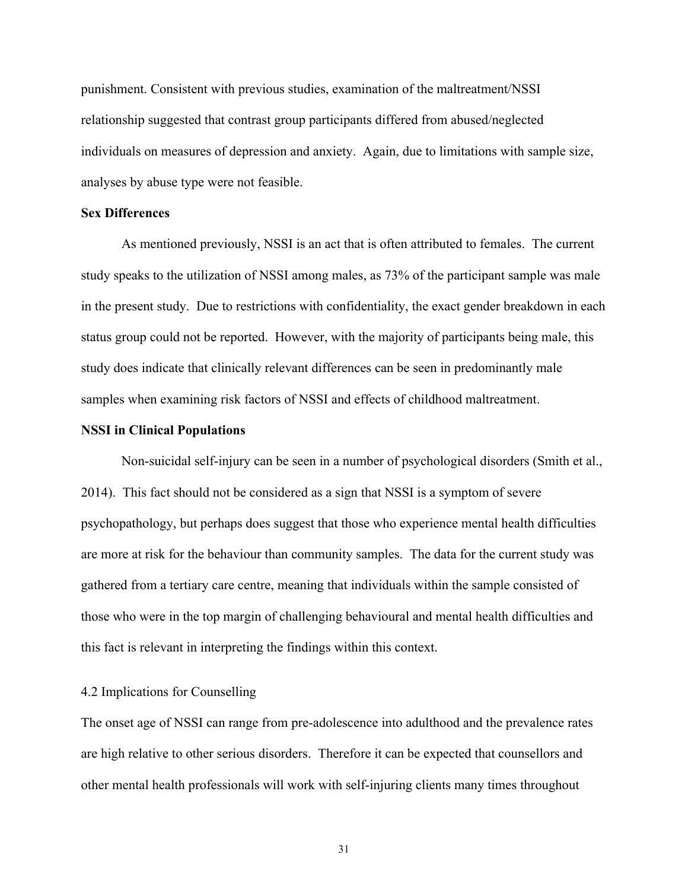punishment. Consistent with previous studies, examination of the maltreatment/NSSI relationship suggested that contrast group participants differed from abused/neglected individuals on measures of depression and anxiety. Again, due to limitations with sample size, analyses by abuse type were not feasible.

### **Sex Differences**

As mentioned previously, NSSI is an act that is often attributed to females. The current study speaks to the utilization of NSSI among males, as 73% of the participant sample was male in the present study. Due to restrictions with confidentiality, the exact gender breakdown in each status group could not be reported. However, with the majority of participants being male, this study does indicate that clinically relevant differences can be seen in predominantly male samples when examining risk factors of NSSI and effects of childhood maltreatment.

#### **NSSI in Clinical Populations**

Non-suicidal self-injury can be seen in a number of psychological disorders (Smith et al., 2014). This fact should not be considered as a sign that NSSI is a symptom of severe psychopathology, but perhaps does suggest that those who experience mental health difficulties are more at risk for the behaviour than community samples. The data for the current study was gathered from a tertiary care centre, meaning that individuals within the sample consisted of those who were in the top margin of challenging behavioural and mental health difficulties and this fact is relevant in interpreting the findings within this context.

# 4.2 Implications for Counselling

The onset age of NSSI can range from pre-adolescence into adulthood and the prevalence rates are high relative to other serious disorders. Therefore it can be expected that counsellors and other mental health professionals will work with self-injuring clients many times throughout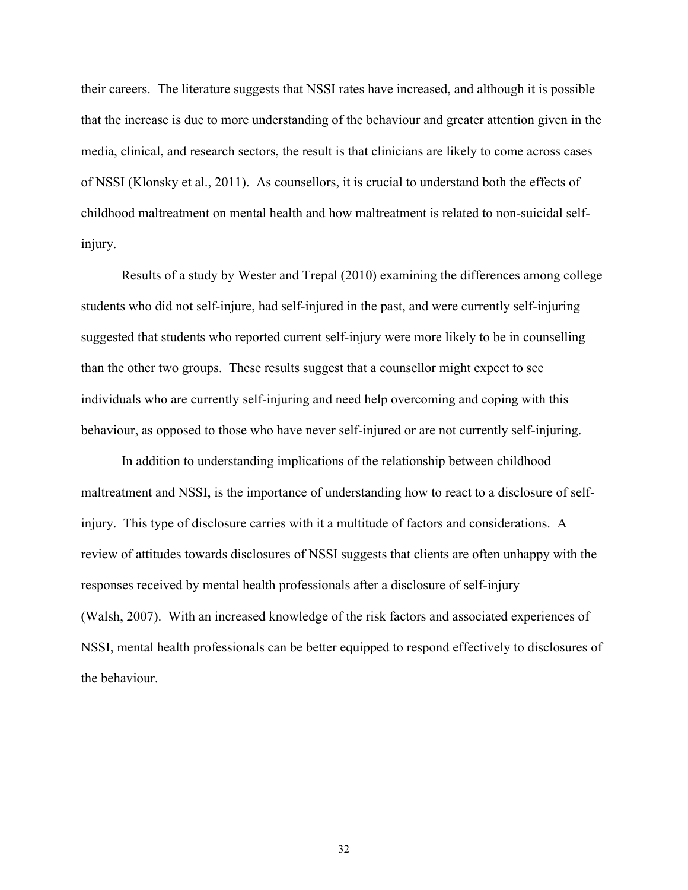their careers. The literature suggests that NSSI rates have increased, and although it is possible that the increase is due to more understanding of the behaviour and greater attention given in the media, clinical, and research sectors, the result is that clinicians are likely to come across cases of NSSI (Klonsky et al., 2011). As counsellors, it is crucial to understand both the effects of childhood maltreatment on mental health and how maltreatment is related to non-suicidal selfinjury.

Results of a study by Wester and Trepal (2010) examining the differences among college students who did not self-injure, had self-injured in the past, and were currently self-injuring suggested that students who reported current self-injury were more likely to be in counselling than the other two groups. These results suggest that a counsellor might expect to see individuals who are currently self-injuring and need help overcoming and coping with this behaviour, as opposed to those who have never self-injured or are not currently self-injuring.

In addition to understanding implications of the relationship between childhood maltreatment and NSSI, is the importance of understanding how to react to a disclosure of selfinjury. This type of disclosure carries with it a multitude of factors and considerations. A review of attitudes towards disclosures of NSSI suggests that clients are often unhappy with the responses received by mental health professionals after a disclosure of self-injury (Walsh, 2007). With an increased knowledge of the risk factors and associated experiences of NSSI, mental health professionals can be better equipped to respond effectively to disclosures of the behaviour.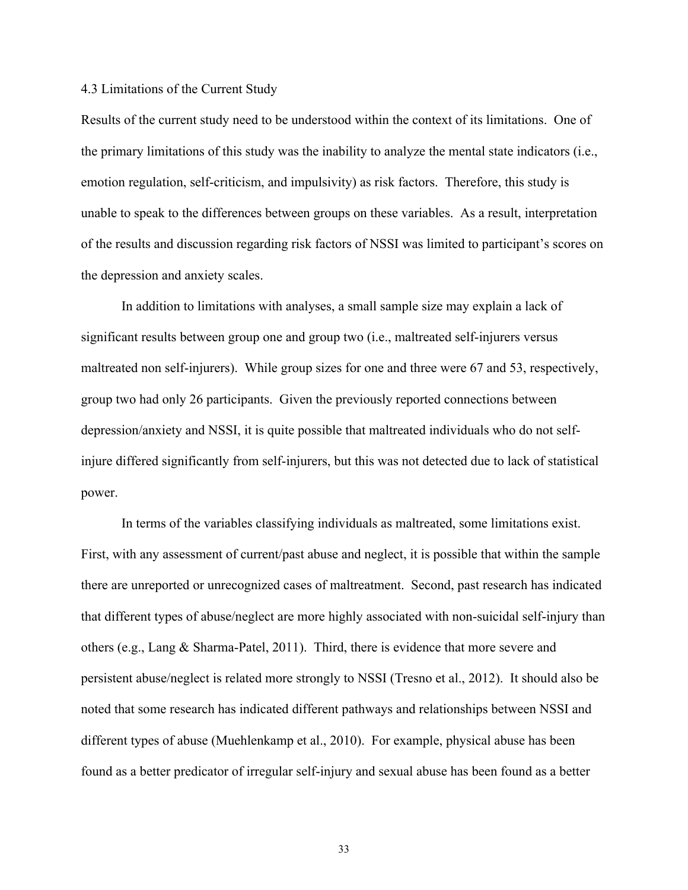#### 4.3 Limitations of the Current Study

Results of the current study need to be understood within the context of its limitations. One of the primary limitations of this study was the inability to analyze the mental state indicators (i.e., emotion regulation, self-criticism, and impulsivity) as risk factors. Therefore, this study is unable to speak to the differences between groups on these variables. As a result, interpretation of the results and discussion regarding risk factors of NSSI was limited to participant's scores on the depression and anxiety scales.

In addition to limitations with analyses, a small sample size may explain a lack of significant results between group one and group two (i.e., maltreated self-injurers versus maltreated non self-injurers). While group sizes for one and three were 67 and 53, respectively, group two had only 26 participants. Given the previously reported connections between depression/anxiety and NSSI, it is quite possible that maltreated individuals who do not selfinjure differed significantly from self-injurers, but this was not detected due to lack of statistical power.

In terms of the variables classifying individuals as maltreated, some limitations exist. First, with any assessment of current/past abuse and neglect, it is possible that within the sample there are unreported or unrecognized cases of maltreatment. Second, past research has indicated that different types of abuse/neglect are more highly associated with non-suicidal self-injury than others (e.g., Lang & Sharma-Patel, 2011). Third, there is evidence that more severe and persistent abuse/neglect is related more strongly to NSSI (Tresno et al., 2012). It should also be noted that some research has indicated different pathways and relationships between NSSI and different types of abuse (Muehlenkamp et al., 2010). For example, physical abuse has been found as a better predicator of irregular self-injury and sexual abuse has been found as a better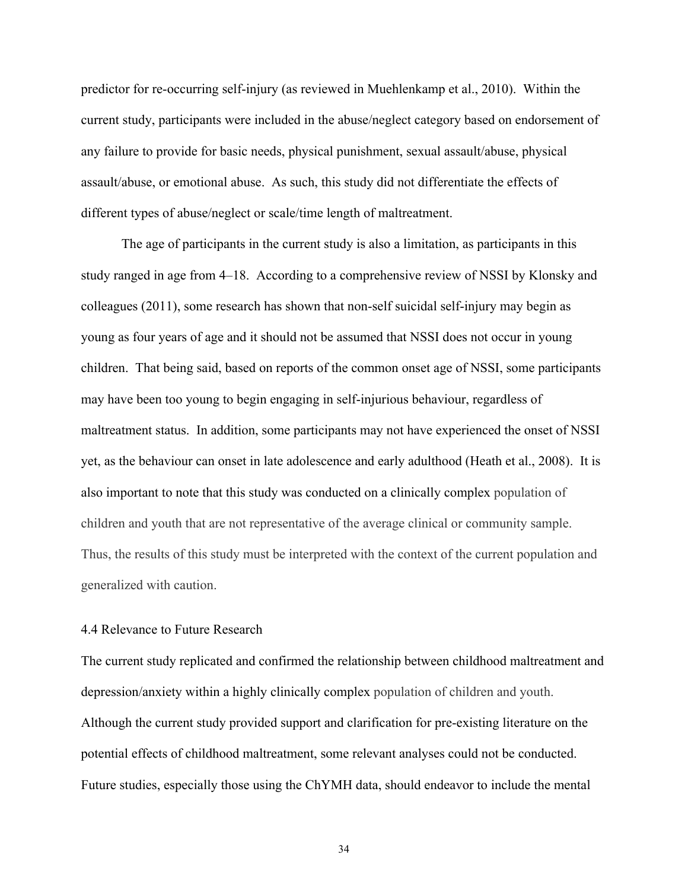predictor for re-occurring self-injury (as reviewed in Muehlenkamp et al., 2010). Within the current study, participants were included in the abuse/neglect category based on endorsement of any failure to provide for basic needs, physical punishment, sexual assault/abuse, physical assault/abuse, or emotional abuse. As such, this study did not differentiate the effects of different types of abuse/neglect or scale/time length of maltreatment.

The age of participants in the current study is also a limitation, as participants in this study ranged in age from 4–18. According to a comprehensive review of NSSI by Klonsky and colleagues (2011), some research has shown that non-self suicidal self-injury may begin as young as four years of age and it should not be assumed that NSSI does not occur in young children. That being said, based on reports of the common onset age of NSSI, some participants may have been too young to begin engaging in self-injurious behaviour, regardless of maltreatment status. In addition, some participants may not have experienced the onset of NSSI yet, as the behaviour can onset in late adolescence and early adulthood (Heath et al., 2008). It is also important to note that this study was conducted on a clinically complex population of children and youth that are not representative of the average clinical or community sample. Thus, the results of this study must be interpreted with the context of the current population and generalized with caution.

### 4.4 Relevance to Future Research

The current study replicated and confirmed the relationship between childhood maltreatment and depression/anxiety within a highly clinically complex population of children and youth. Although the current study provided support and clarification for pre-existing literature on the potential effects of childhood maltreatment, some relevant analyses could not be conducted. Future studies, especially those using the ChYMH data, should endeavor to include the mental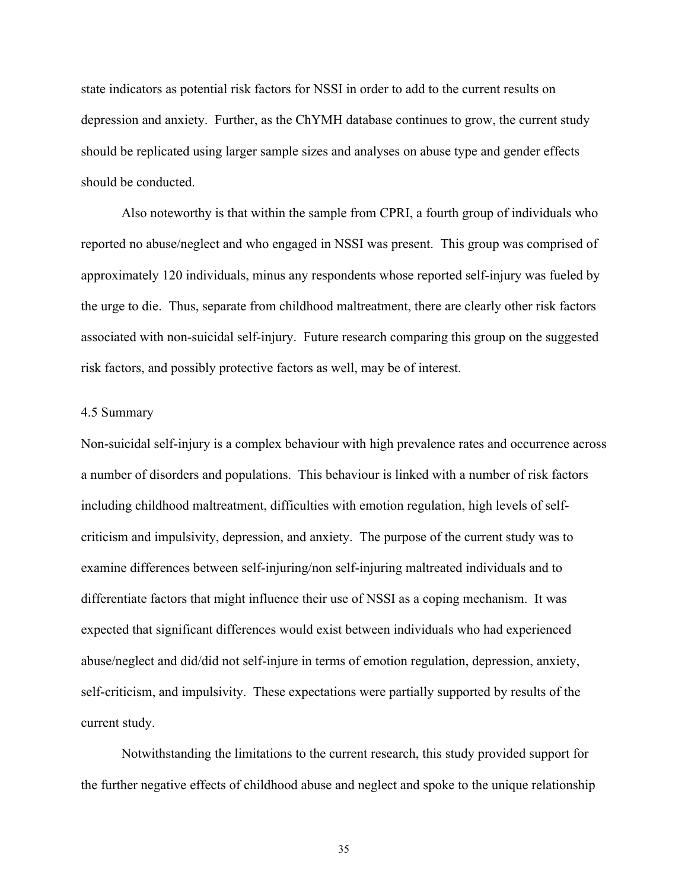state indicators as potential risk factors for NSSI in order to add to the current results on depression and anxiety. Further, as the ChYMH database continues to grow, the current study should be replicated using larger sample sizes and analyses on abuse type and gender effects should be conducted.

Also noteworthy is that within the sample from CPRI, a fourth group of individuals who reported no abuse/neglect and who engaged in NSSI was present. This group was comprised of approximately 120 individuals, minus any respondents whose reported self-injury was fueled by the urge to die. Thus, separate from childhood maltreatment, there are clearly other risk factors associated with non-suicidal self-injury. Future research comparing this group on the suggested risk factors, and possibly protective factors as well, may be of interest.

#### 4.5 Summary

Non-suicidal self-injury is a complex behaviour with high prevalence rates and occurrence across a number of disorders and populations. This behaviour is linked with a number of risk factors including childhood maltreatment, difficulties with emotion regulation, high levels of selfcriticism and impulsivity, depression, and anxiety. The purpose of the current study was to examine differences between self-injuring/non self-injuring maltreated individuals and to differentiate factors that might influence their use of NSSI as a coping mechanism. It was expected that significant differences would exist between individuals who had experienced abuse/neglect and did/did not self-injure in terms of emotion regulation, depression, anxiety, self-criticism, and impulsivity. These expectations were partially supported by results of the current study.

Notwithstanding the limitations to the current research, this study provided support for the further negative effects of childhood abuse and neglect and spoke to the unique relationship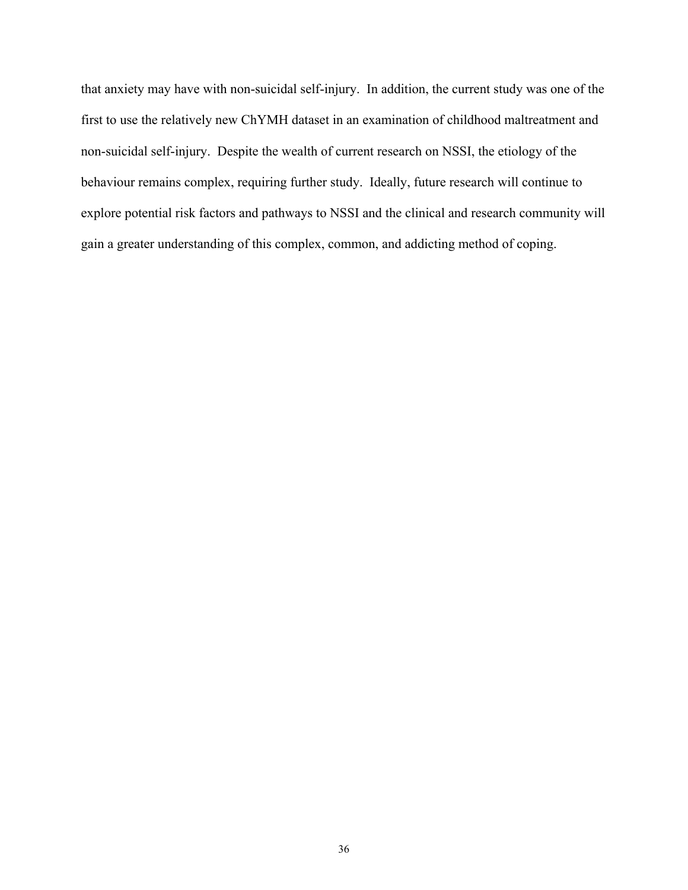that anxiety may have with non-suicidal self-injury. In addition, the current study was one of the first to use the relatively new ChYMH dataset in an examination of childhood maltreatment and non-suicidal self-injury. Despite the wealth of current research on NSSI, the etiology of the behaviour remains complex, requiring further study. Ideally, future research will continue to explore potential risk factors and pathways to NSSI and the clinical and research community will gain a greater understanding of this complex, common, and addicting method of coping.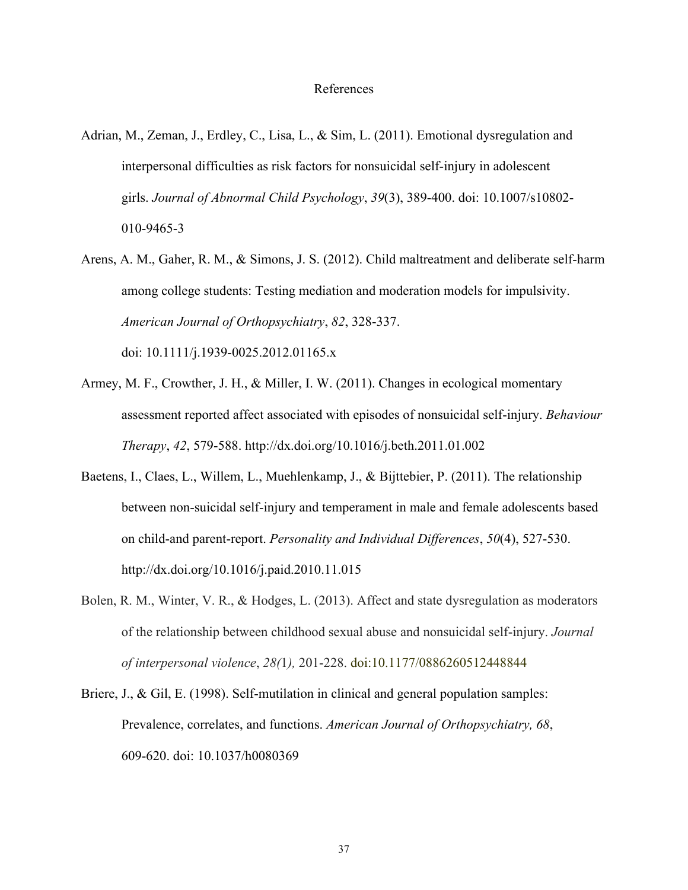- Adrian, M., Zeman, J., Erdley, C., Lisa, L., & Sim, L. (2011). Emotional dysregulation and interpersonal difficulties as risk factors for nonsuicidal self-injury in adolescent girls. *Journal of Abnormal Child Psychology*, *39*(3), 389-400. doi: 10.1007/s10802- 010-9465-3
- Arens, A. M., Gaher, R. M., & Simons, J. S. (2012). Child maltreatment and deliberate self-harm among college students: Testing mediation and moderation models for impulsivity. *American Journal of Orthopsychiatry*, *82*, 328-337.

doi: 10.1111/j.1939-0025.2012.01165.x

- Armey, M. F., Crowther, J. H., & Miller, I. W. (2011). Changes in ecological momentary assessment reported affect associated with episodes of nonsuicidal self-injury. *Behaviour Therapy*, *42*, 579-588. http://dx.doi.org/10.1016/j.beth.2011.01.002
- Baetens, I., Claes, L., Willem, L., Muehlenkamp, J., & Bijttebier, P. (2011). The relationship between non-suicidal self-injury and temperament in male and female adolescents based on child-and parent-report. *Personality and Individual Differences*, *50*(4), 527-530. http://dx.doi.org/10.1016/j.paid.2010.11.015
- Bolen, R. M., Winter, V. R., & Hodges, L. (2013). Affect and state dysregulation as moderators of the relationship between childhood sexual abuse and nonsuicidal self-injury. *Journal of interpersonal violence*, *28(*1*),* 201-228. doi:10.1177/0886260512448844
- Briere, J., & Gil, E. (1998). Self-mutilation in clinical and general population samples: Prevalence, correlates, and functions. *American Journal of Orthopsychiatry, 68*, 609-620. doi: 10.1037/h0080369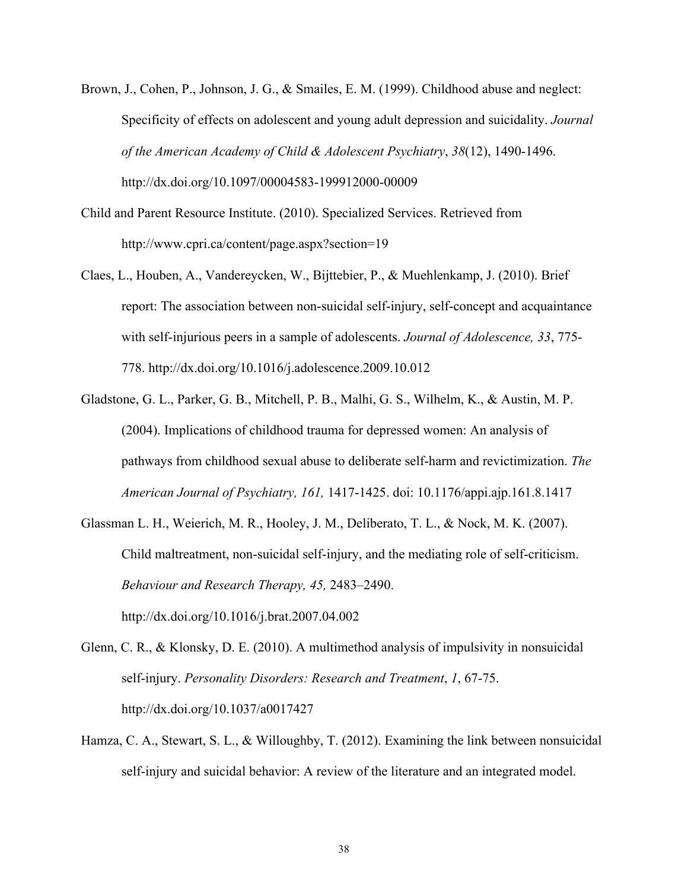- Brown, J., Cohen, P., Johnson, J. G., & Smailes, E. M. (1999). Childhood abuse and neglect: Specificity of effects on adolescent and young adult depression and suicidality. *Journal of the American Academy of Child & Adolescent Psychiatry*, *38*(12), 1490-1496. http://dx.doi.org/10.1097/00004583-199912000-00009
- Child and Parent Resource Institute. (2010). Specialized Services. Retrieved from http://www.cpri.ca/content/page.aspx?section=19
- Claes, L., Houben, A., Vandereycken, W., Bijttebier, P., & Muehlenkamp, J. (2010). Brief report: The association between non-suicidal self-injury, self-concept and acquaintance with self-injurious peers in a sample of adolescents. *Journal of Adolescence, 33*, 775- 778. http://dx.doi.org/10.1016/j.adolescence.2009.10.012
- Gladstone, G. L., Parker, G. B., Mitchell, P. B., Malhi, G. S., Wilhelm, K., & Austin, M. P. (2004). Implications of childhood trauma for depressed women: An analysis of pathways from childhood sexual abuse to deliberate self-harm and revictimization. *The American Journal of Psychiatry, 161,* 1417-1425. doi: 10.1176/appi.ajp.161.8.1417
- Glassman L. H., Weierich, M. R., Hooley, J. M., Deliberato, T. L., & Nock, M. K. (2007). Child maltreatment, non-suicidal self-injury, and the mediating role of self-criticism. *Behaviour and Research Therapy, 45,* 2483–2490. http://dx.doi.org/10.1016/j.brat.2007.04.002
- Glenn, C. R., & Klonsky, D. E. (2010). A multimethod analysis of impulsivity in nonsuicidal self-injury. *Personality Disorders: Research and Treatment*, *1*, 67-75. http://dx.doi.org/10.1037/a0017427
- Hamza, C. A., Stewart, S. L., & Willoughby, T. (2012). Examining the link between nonsuicidal self-injury and suicidal behavior: A review of the literature and an integrated model.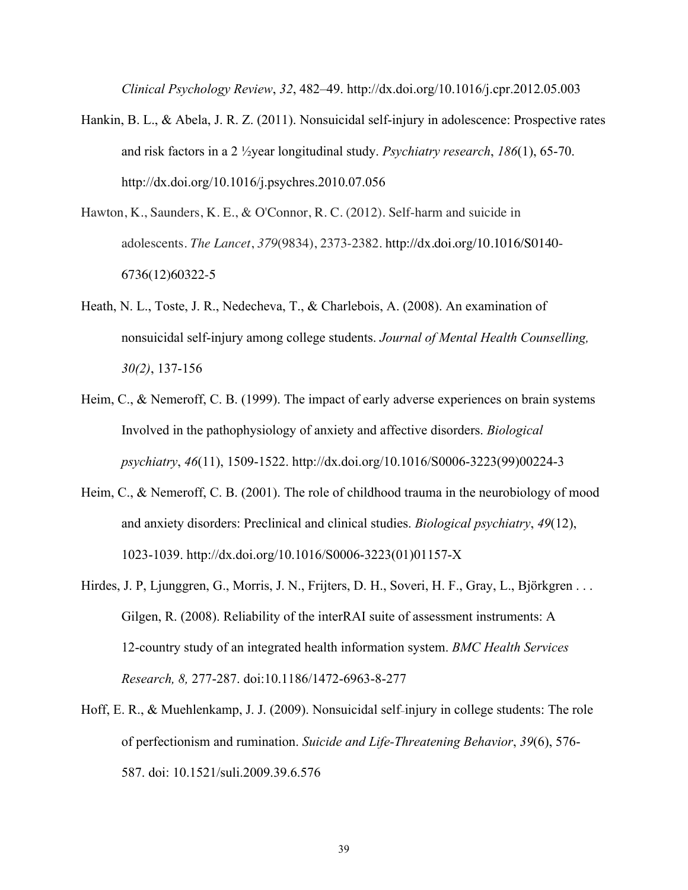*Clinical Psychology Review*, *32*, 482–49. http://dx.doi.org/10.1016/j.cpr.2012.05.003

- Hankin, B. L., & Abela, J. R. Z. (2011). Nonsuicidal self-injury in adolescence: Prospective rates and risk factors in a 2 ½year longitudinal study. *Psychiatry research*, *186*(1), 65-70. http://dx.doi.org/10.1016/j.psychres.2010.07.056
- Hawton, K., Saunders, K. E., & O'Connor, R. C. (2012). Self-harm and suicide in adolescents. *The Lancet*, *379*(9834), 2373-2382. http://dx.doi.org/10.1016/S0140- 6736(12)60322-5
- Heath, N. L., Toste, J. R., Nedecheva, T., & Charlebois, A. (2008). An examination of nonsuicidal self-injury among college students. *Journal of Mental Health Counselling, 30(2)*, 137-156
- Heim, C., & Nemeroff, C. B. (1999). The impact of early adverse experiences on brain systems Involved in the pathophysiology of anxiety and affective disorders. *Biological psychiatry*, *46*(11), 1509-1522. http://dx.doi.org/10.1016/S0006-3223(99)00224-3
- Heim, C., & Nemeroff, C. B. (2001). The role of childhood trauma in the neurobiology of mood and anxiety disorders: Preclinical and clinical studies. *Biological psychiatry*, *49*(12), 1023-1039. http://dx.doi.org/10.1016/S0006-3223(01)01157-X
- Hirdes, J. P, Ljunggren, G., Morris, J. N., Frijters, D. H., Soveri, H. F., Gray, L., Björkgren . . . Gilgen, R. (2008). Reliability of the interRAI suite of assessment instruments: A 12-country study of an integrated health information system. *BMC Health Services Research, 8,* 277-287. doi:10.1186/1472-6963-8-277
- Hoff, E. R., & Muehlenkamp, J. J. (2009). Nonsuicidal self-injury in college students: The role of perfectionism and rumination. *Suicide and Life-Threatening Behavior*, *39*(6), 576- 587. doi: 10.1521/suli.2009.39.6.576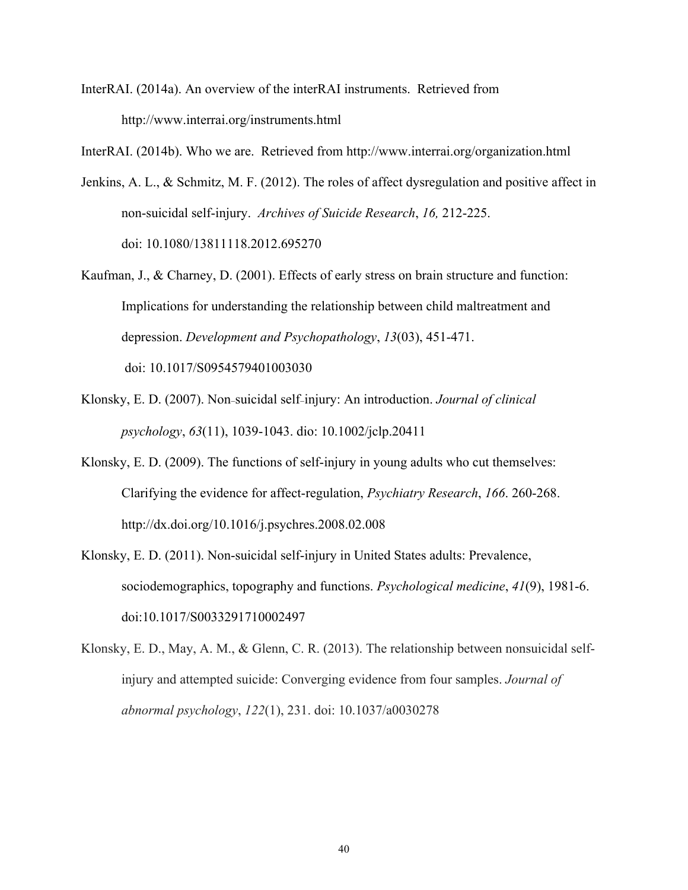InterRAI. (2014a). An overview of the interRAI instruments. Retrieved from http://www.interrai.org/instruments.html

InterRAI. (2014b). Who we are. Retrieved from http://www.interrai.org/organization.html

- Jenkins, A. L., & Schmitz, M. F. (2012). The roles of affect dysregulation and positive affect in non-suicidal self-injury. *Archives of Suicide Research*, *16,* 212-225. doi: 10.1080/13811118.2012.695270
- Kaufman, J., & Charney, D. (2001). Effects of early stress on brain structure and function: Implications for understanding the relationship between child maltreatment and depression. *Development and Psychopathology*, *13*(03), 451-471. doi: 10.1017/S0954579401003030
- Klonsky, E. D. (2007). Non-suicidal self-injury: An introduction. *Journal of clinical psychology*, *63*(11), 1039-1043. dio: 10.1002/jclp.20411
- Klonsky, E. D. (2009). The functions of self-injury in young adults who cut themselves: Clarifying the evidence for affect-regulation, *Psychiatry Research*, *166*. 260-268. http://dx.doi.org/10.1016/j.psychres.2008.02.008
- Klonsky, E. D. (2011). Non-suicidal self-injury in United States adults: Prevalence, sociodemographics, topography and functions. *Psychological medicine*, *41*(9), 1981-6. doi:10.1017/S0033291710002497
- Klonsky, E. D., May, A. M., & Glenn, C. R. (2013). The relationship between nonsuicidal selfinjury and attempted suicide: Converging evidence from four samples. *Journal of abnormal psychology*, *122*(1), 231. doi: 10.1037/a0030278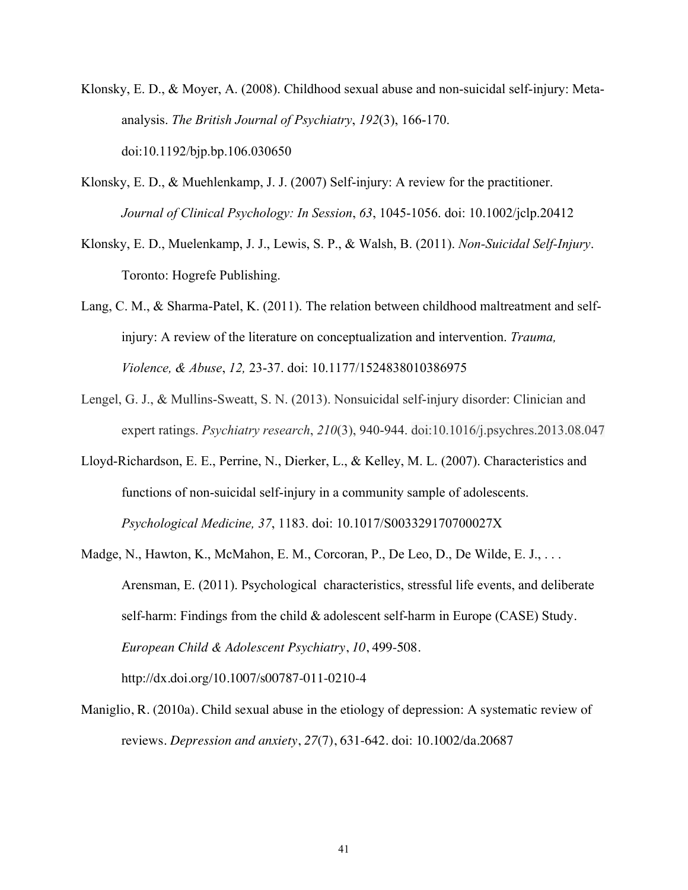- Klonsky, E. D., & Moyer, A. (2008). Childhood sexual abuse and non-suicidal self-injury: Metaanalysis. *The British Journal of Psychiatry*, *192*(3), 166-170. doi:10.1192/bjp.bp.106.030650
- Klonsky, E. D., & Muehlenkamp, J. J. (2007) Self-injury: A review for the practitioner. *Journal of Clinical Psychology: In Session*, *63*, 1045-1056. doi: 10.1002/jclp.20412
- Klonsky, E. D., Muelenkamp, J. J., Lewis, S. P., & Walsh, B. (2011). *Non-Suicidal Self-Injury*. Toronto: Hogrefe Publishing.
- Lang, C. M., & Sharma-Patel, K. (2011). The relation between childhood maltreatment and selfinjury: A review of the literature on conceptualization and intervention. *Trauma, Violence, & Abuse*, *12,* 23-37. doi: 10.1177/1524838010386975
- Lengel, G. J., & Mullins-Sweatt, S. N. (2013). Nonsuicidal self-injury disorder: Clinician and expert ratings. *Psychiatry research*, *210*(3), 940-944. doi:10.1016/j.psychres.2013.08.047
- Lloyd-Richardson, E. E., Perrine, N., Dierker, L., & Kelley, M. L. (2007). Characteristics and functions of non-suicidal self-injury in a community sample of adolescents. *Psychological Medicine, 37*, 1183. doi: 10.1017/S003329170700027X
- Madge, N., Hawton, K., McMahon, E. M., Corcoran, P., De Leo, D., De Wilde, E. J., . . . Arensman, E. (2011). Psychological characteristics, stressful life events, and deliberate self-harm: Findings from the child & adolescent self-harm in Europe (CASE) Study. *European Child & Adolescent Psychiatry*, *10*, 499-508. http://dx.doi.org/10.1007/s00787-011-0210-4
- Maniglio, R. (2010a). Child sexual abuse in the etiology of depression: A systematic review of reviews. *Depression and anxiety*, *27*(7), 631-642. doi: 10.1002/da.20687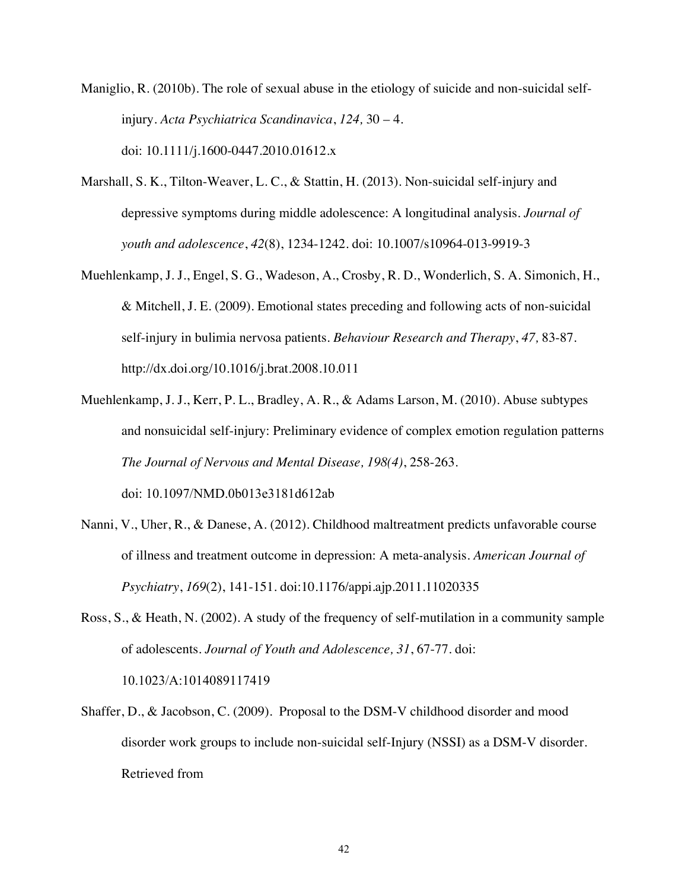Maniglio, R. (2010b). The role of sexual abuse in the etiology of suicide and non-suicidal selfinjury. *Acta Psychiatrica Scandinavica*, *124,* 30 – 4. doi: 10.1111/j.1600-0447.2010.01612.x

- Marshall, S. K., Tilton-Weaver, L. C., & Stattin, H. (2013). Non-suicidal self-injury and depressive symptoms during middle adolescence: A longitudinal analysis. *Journal of youth and adolescence*, *42*(8), 1234-1242. doi: 10.1007/s10964-013-9919-3
- Muehlenkamp, J. J., Engel, S. G., Wadeson, A., Crosby, R. D., Wonderlich, S. A. Simonich, H., & Mitchell, J. E. (2009). Emotional states preceding and following acts of non-suicidal self-injury in bulimia nervosa patients. *Behaviour Research and Therapy*, *47,* 83-87. http://dx.doi.org/10.1016/j.brat.2008.10.011
- Muehlenkamp, J. J., Kerr, P. L., Bradley, A. R., & Adams Larson, M. (2010). Abuse subtypes and nonsuicidal self-injury: Preliminary evidence of complex emotion regulation patterns *The Journal of Nervous and Mental Disease, 198(4)*, 258-263. doi: 10.1097/NMD.0b013e3181d612ab
- Nanni, V., Uher, R., & Danese, A. (2012). Childhood maltreatment predicts unfavorable course of illness and treatment outcome in depression: A meta-analysis. *American Journal of Psychiatry*, *169*(2), 141-151. doi:10.1176/appi.ajp.2011.11020335
- Ross, S., & Heath, N. (2002). A study of the frequency of self-mutilation in a community sample of adolescents. *Journal of Youth and Adolescence, 31*, 67-77. doi: 10.1023/A:1014089117419
- Shaffer, D., & Jacobson, C. (2009). Proposal to the DSM-V childhood disorder and mood disorder work groups to include non-suicidal self-Injury (NSSI) as a DSM-V disorder. Retrieved from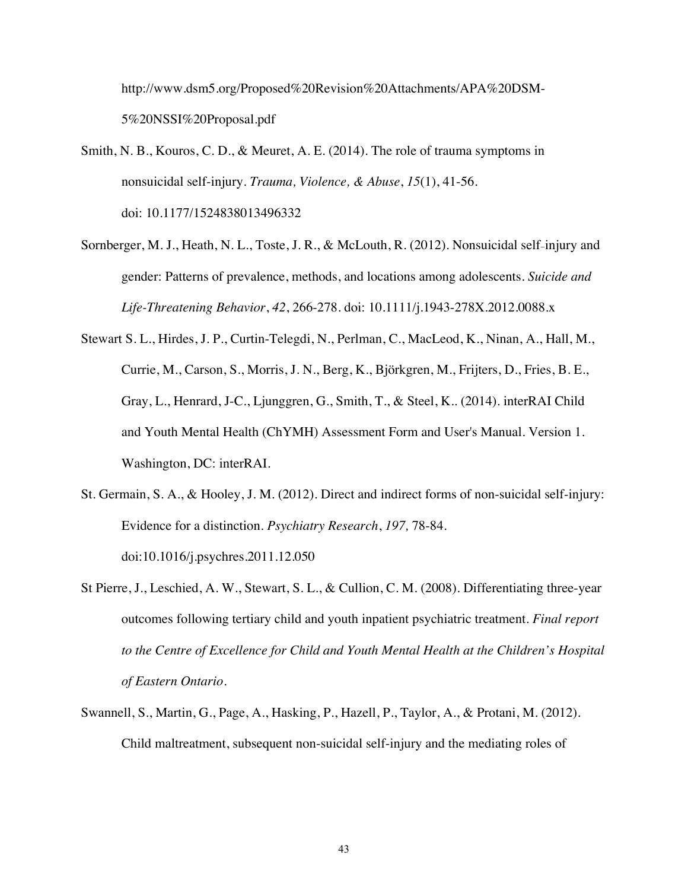http://www.dsm5.org/Proposed%20Revision%20Attachments/APA%20DSM-5%20NSSI%20Proposal.pdf

- Smith, N. B., Kouros, C. D., & Meuret, A. E. (2014). The role of trauma symptoms in nonsuicidal self-injury. *Trauma, Violence, & Abuse*, *15*(1), 41-56. doi: 10.1177/1524838013496332
- Sornberger, M. J., Heath, N. L., Toste, J. R., & McLouth, R. (2012). Nonsuicidal self-injury and gender: Patterns of prevalence, methods, and locations among adolescents. *Suicide and Life-Threatening Behavior*, *42*, 266-278. doi: 10.1111/j.1943-278X.2012.0088.x
- Stewart S. L., Hirdes, J. P., Curtin-Telegdi, N., Perlman, C., MacLeod, K., Ninan, A., Hall, M., Currie, M., Carson, S., Morris, J. N., Berg, K., Björkgren, M., Frijters, D., Fries, B. E., Gray, L., Henrard, J-C., Ljunggren, G., Smith, T., & Steel, K.. (2014). interRAI Child and Youth Mental Health (ChYMH) Assessment Form and User's Manual. Version 1. Washington, DC: interRAI.
- St. Germain, S. A., & Hooley, J. M. (2012). Direct and indirect forms of non-suicidal self-injury: Evidence for a distinction*. Psychiatry Research*, *197,* 78-84. doi:10.1016/j.psychres.2011.12.050
- St Pierre, J., Leschied, A. W., Stewart, S. L., & Cullion, C. M. (2008). Differentiating three-year outcomes following tertiary child and youth inpatient psychiatric treatment. *Final report to the Centre of Excellence for Child and Youth Mental Health at the Children's Hospital of Eastern Ontario*.
- Swannell, S., Martin, G., Page, A., Hasking, P., Hazell, P., Taylor, A., & Protani, M. (2012). Child maltreatment, subsequent non-suicidal self-injury and the mediating roles of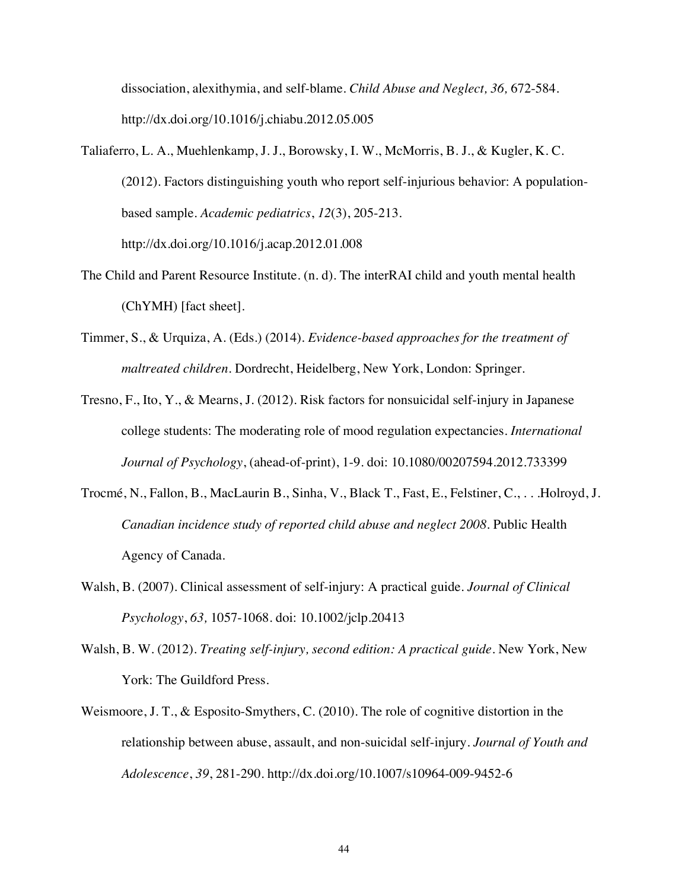dissociation, alexithymia, and self-blame. *Child Abuse and Neglect, 36,* 672-584. http://dx.doi.org/10.1016/j.chiabu.2012.05.005

- Taliaferro, L. A., Muehlenkamp, J. J., Borowsky, I. W., McMorris, B. J., & Kugler, K. C. (2012). Factors distinguishing youth who report self-injurious behavior: A populationbased sample. *Academic pediatrics*, *12*(3), 205-213. http://dx.doi.org/10.1016/j.acap.2012.01.008
- The Child and Parent Resource Institute. (n. d). The interRAI child and youth mental health (ChYMH) [fact sheet].
- Timmer, S., & Urquiza, A. (Eds.) (2014). *Evidence-based approaches for the treatment of maltreated children*. Dordrecht, Heidelberg, New York, London: Springer.
- Tresno, F., Ito, Y., & Mearns, J. (2012). Risk factors for nonsuicidal self-injury in Japanese college students: The moderating role of mood regulation expectancies. *International Journal of Psychology*, (ahead-of-print), 1-9. doi: 10.1080/00207594.2012.733399
- Trocmé, N., Fallon, B., MacLaurin B., Sinha, V., Black T., Fast, E., Felstiner, C., . . .Holroyd, J. *Canadian incidence study of reported child abuse and neglect 2008*. Public Health Agency of Canada.
- Walsh, B. (2007). Clinical assessment of self-injury: A practical guide. *Journal of Clinical Psychology*, *63,* 1057-1068. doi: 10.1002/jclp.20413
- Walsh, B. W. (2012). *Treating self-injury, second edition: A practical guide*. New York, New York: The Guildford Press.
- Weismoore, J. T., & Esposito-Smythers, C. (2010). The role of cognitive distortion in the relationship between abuse, assault, and non-suicidal self-injury. *Journal of Youth and Adolescence*, *39*, 281-290. http://dx.doi.org/10.1007/s10964-009-9452-6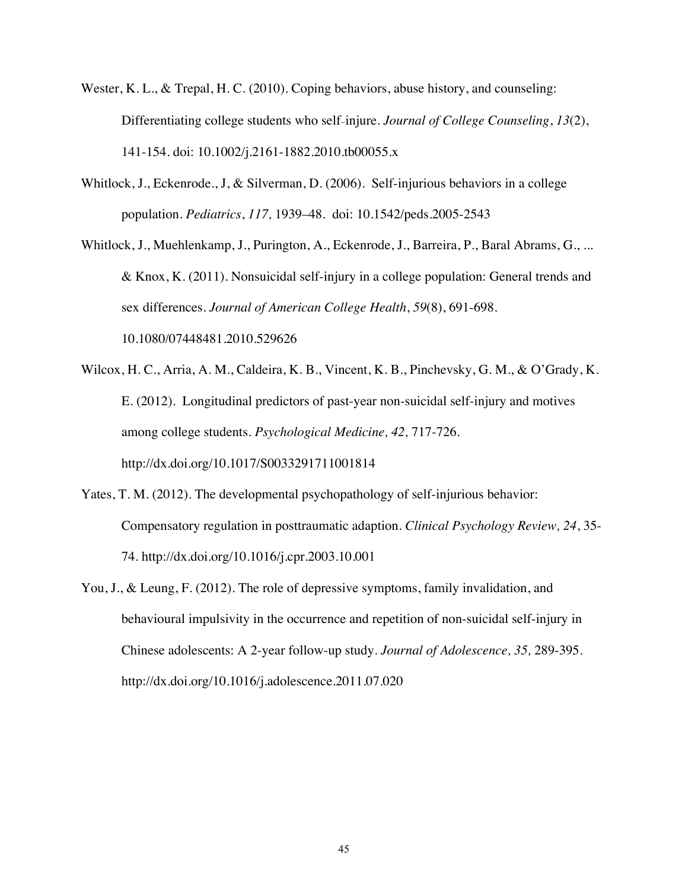- Wester, K. L., & Trepal, H. C. (2010). Coping behaviors, abuse history, and counseling: Differentiating college students who self-injure. *Journal of College Counseling*, *13*(2), 141-154. doi: 10.1002/j.2161-1882.2010.tb00055.x
- Whitlock, J., Eckenrode., J, & Silverman, D. (2006). Self-injurious behaviors in a college population. *Pediatrics*, *117,* 1939–48. doi: 10.1542/peds.2005-2543
- Whitlock, J., Muehlenkamp, J., Purington, A., Eckenrode, J., Barreira, P., Baral Abrams, G., ... & Knox, K. (2011). Nonsuicidal self-injury in a college population: General trends and sex differences. *Journal of American College Health*, *59*(8), 691-698. 10.1080/07448481.2010.529626
- Wilcox, H. C., Arria, A. M., Caldeira, K. B., Vincent, K. B., Pinchevsky, G. M., & O'Grady, K. E. (2012). Longitudinal predictors of past-year non-suicidal self-injury and motives among college students. *Psychological Medicine, 42,* 717-726. http://dx.doi.org/10.1017/S0033291711001814
- Yates, T. M. (2012). The developmental psychopathology of self-injurious behavior: Compensatory regulation in posttraumatic adaption. *Clinical Psychology Review, 24*, 35- 74. http://dx.doi.org/10.1016/j.cpr.2003.10.001
- You, J., & Leung, F. (2012). The role of depressive symptoms, family invalidation, and behavioural impulsivity in the occurrence and repetition of non-suicidal self-injury in Chinese adolescents: A 2-year follow-up study. *Journal of Adolescence, 35,* 289-395. http://dx.doi.org/10.1016/j.adolescence.2011.07.020